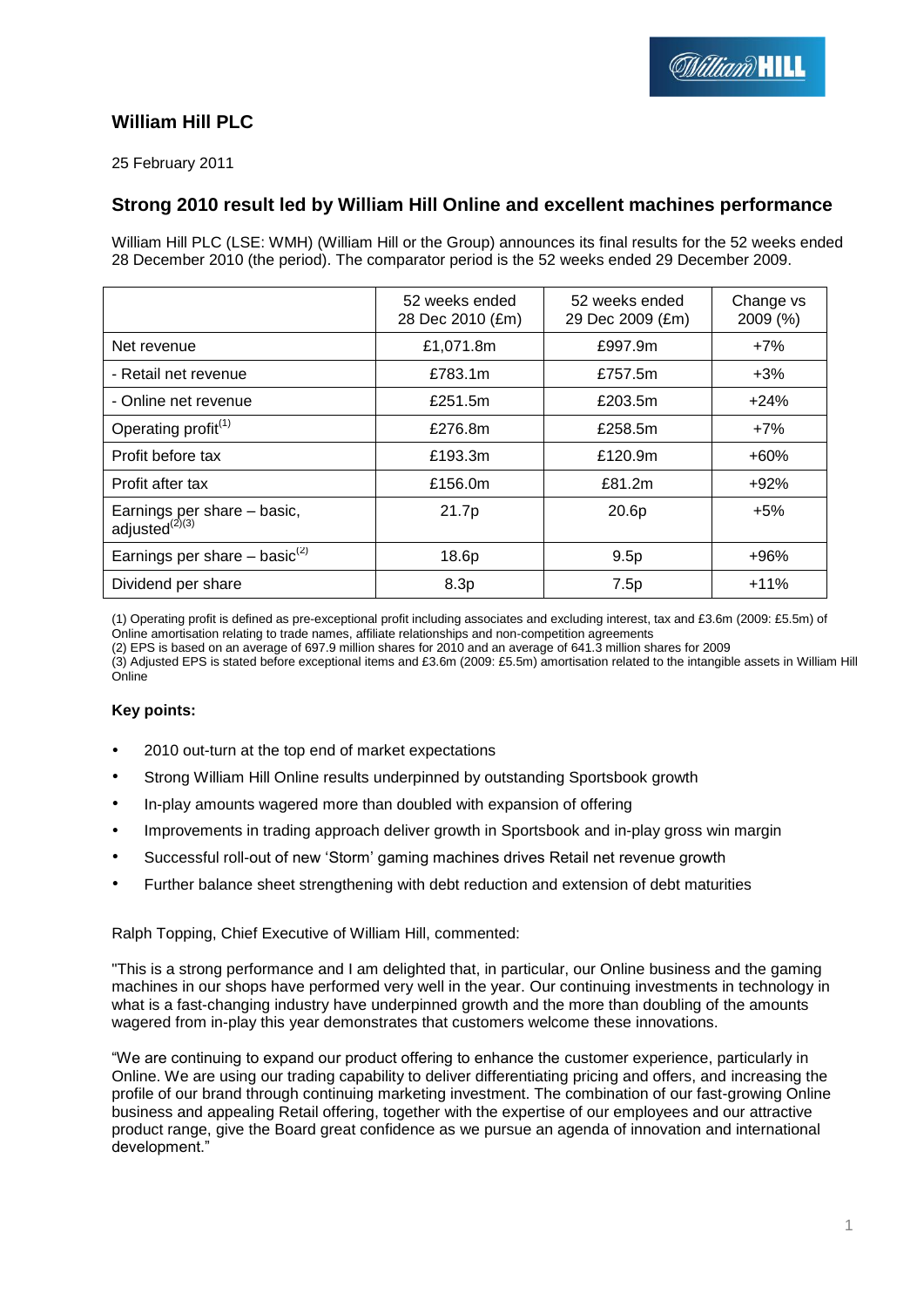# **William Hill PLC**

25 February 2011

# **Strong 2010 result led by William Hill Online and excellent machines performance**

William Hill PLC (LSE: WMH) (William Hill or the Group) announces its final results for the 52 weeks ended 28 December 2010 (the period). The comparator period is the 52 weeks ended 29 December 2009.

|                                                     | 52 weeks ended<br>28 Dec 2010 (£m) | 52 weeks ended<br>29 Dec 2009 (£m) | Change vs<br>2009 (%) |
|-----------------------------------------------------|------------------------------------|------------------------------------|-----------------------|
| Net revenue                                         | £1,071.8m                          | £997.9m                            | $+7%$                 |
| - Retail net revenue                                | £783.1m                            | £757.5m                            | $+3\%$                |
| - Online net revenue                                | £251.5m                            | £203.5m                            | $+24%$                |
| Operating profit <sup>(1)</sup>                     | £276.8m                            | £258.5m                            | $+7%$                 |
| Profit before tax                                   | £193.3m                            | £120.9m                            | $+60%$                |
| Profit after tax                                    | £156.0m                            | £81.2m                             | $+92%$                |
| Earnings per share - basic,<br>adjusted $^{(2)(3)}$ | 21.7p                              | 20.6p                              | $+5%$                 |
| Earnings per share $-$ basic <sup>(2)</sup>         | 18.6p                              | 9.5p                               | $+96%$                |
| Dividend per share                                  | 8.3p                               | 7.5p                               | $+11%$                |

(1) Operating profit is defined as pre-exceptional profit including associates and excluding interest, tax and £3.6m (2009: £5.5m) of Online amortisation relating to trade names, affiliate relationships and non-competition agreements

(2) EPS is based on an average of 697.9 million shares for 2010 and an average of 641.3 million shares for 2009

(3) Adjusted EPS is stated before exceptional items and £3.6m (2009: £5.5m) amortisation related to the intangible assets in William Hill Online

## **Key points:**

- 2010 out-turn at the top end of market expectations
- Strong William Hill Online results underpinned by outstanding Sportsbook growth
- In-play amounts wagered more than doubled with expansion of offering
- Improvements in trading approach deliver growth in Sportsbook and in-play gross win margin
- Successful roll-out of new "Storm" gaming machines drives Retail net revenue growth
- Further balance sheet strengthening with debt reduction and extension of debt maturities

## Ralph Topping, Chief Executive of William Hill, commented:

"This is a strong performance and I am delighted that, in particular, our Online business and the gaming machines in our shops have performed very well in the year. Our continuing investments in technology in what is a fast-changing industry have underpinned growth and the more than doubling of the amounts wagered from in-play this year demonstrates that customers welcome these innovations.

"We are continuing to expand our product offering to enhance the customer experience, particularly in Online. We are using our trading capability to deliver differentiating pricing and offers, and increasing the profile of our brand through continuing marketing investment. The combination of our fast-growing Online business and appealing Retail offering, together with the expertise of our employees and our attractive product range, give the Board great confidence as we pursue an agenda of innovation and international development."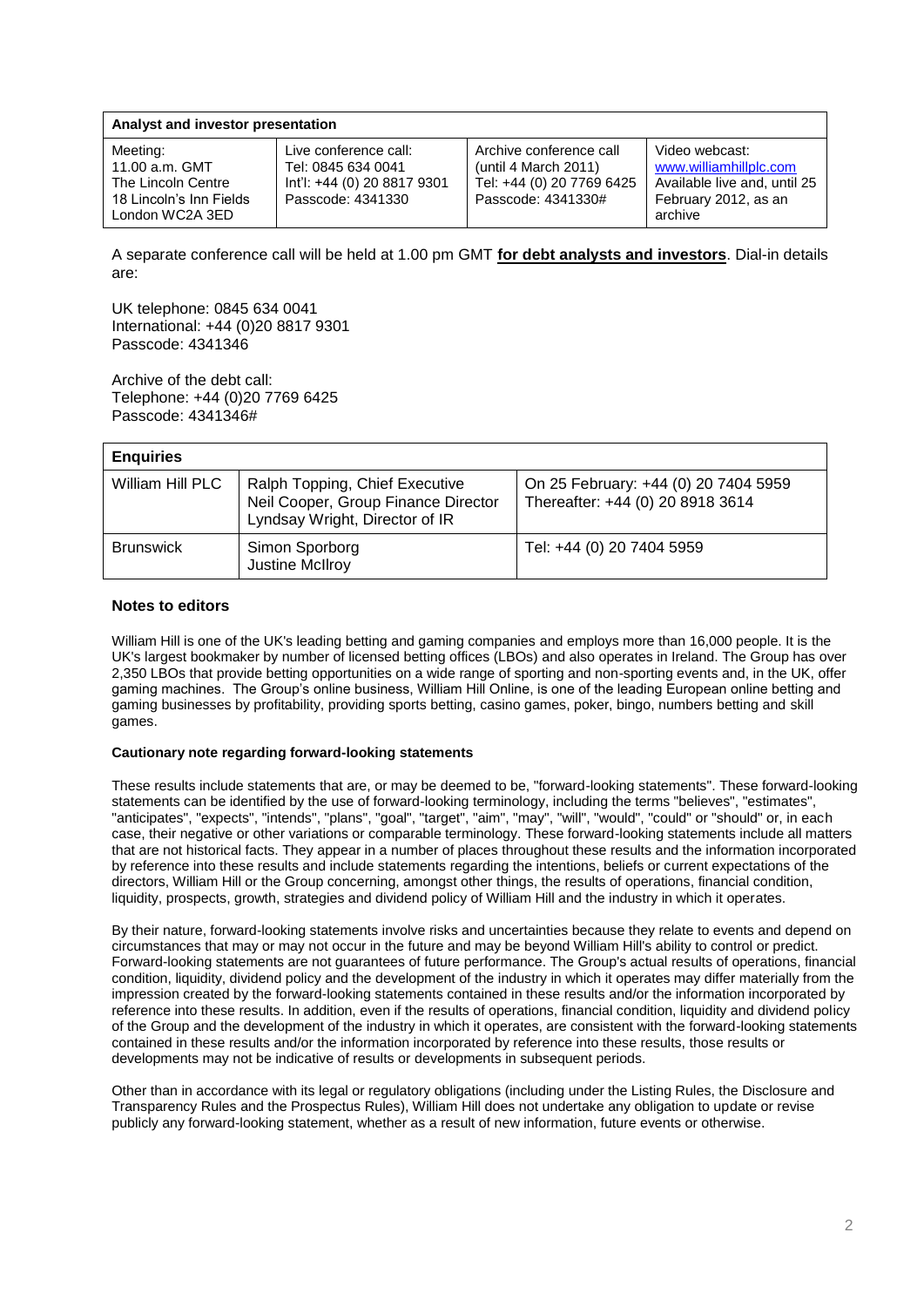| Analyst and investor presentation                                                              |                                                                                                 |                                                                                                    |                                                                                                             |  |  |  |  |  |
|------------------------------------------------------------------------------------------------|-------------------------------------------------------------------------------------------------|----------------------------------------------------------------------------------------------------|-------------------------------------------------------------------------------------------------------------|--|--|--|--|--|
| Meeting:<br>11.00 a.m. GMT<br>The Lincoln Centre<br>18 Lincoln's Inn Fields<br>London WC2A 3ED | Live conference call:<br>Tel: 0845 634 0041<br>lnt'l: +44 (0) 20 8817 9301<br>Passcode: 4341330 | Archive conference call<br>(until 4 March 2011)<br>Tel: +44 (0) 20 7769 6425<br>Passcode: 4341330# | Video webcast:<br>www.williamhillplc.com<br>Available live and, until 25<br>February 2012, as an<br>archive |  |  |  |  |  |

A separate conference call will be held at 1.00 pm GMT **for debt analysts and investors**. Dial-in details are:

UK telephone: 0845 634 0041 International: +44 (0)20 8817 9301 Passcode: 4341346

Archive of the debt call: Telephone: +44 (0)20 7769 6425 Passcode: 4341346#

| <b>Enquiries</b> |                                                                                                         |                                                                          |
|------------------|---------------------------------------------------------------------------------------------------------|--------------------------------------------------------------------------|
| William Hill PLC | Ralph Topping, Chief Executive<br>Neil Cooper, Group Finance Director<br>Lyndsay Wright, Director of IR | On 25 February: +44 (0) 20 7404 5959<br>Thereafter: +44 (0) 20 8918 3614 |
| <b>Brunswick</b> | Simon Sporborg<br>Justine McIlroy                                                                       | Tel: +44 (0) 20 7404 5959                                                |

## **Notes to editors**

William Hill is one of the UK's leading betting and gaming companies and employs more than 16,000 people. It is the UK's largest bookmaker by number of licensed betting offices (LBOs) and also operates in Ireland. The Group has over 2,350 LBOs that provide betting opportunities on a wide range of sporting and non-sporting events and, in the UK, offer gaming machines. The Group"s online business, William Hill Online, is one of the leading European online betting and gaming businesses by profitability, providing sports betting, casino games, poker, bingo, numbers betting and skill games.

## **Cautionary note regarding forward-looking statements**

These results include statements that are, or may be deemed to be, "forward-looking statements". These forward-looking statements can be identified by the use of forward-looking terminology, including the terms "believes", "estimates", "anticipates", "expects", "intends", "plans", "goal", "target", "aim", "may", "will", "would", "could" or "should" or, in each case, their negative or other variations or comparable terminology. These forward-looking statements include all matters that are not historical facts. They appear in a number of places throughout these results and the information incorporated by reference into these results and include statements regarding the intentions, beliefs or current expectations of the directors, William Hill or the Group concerning, amongst other things, the results of operations, financial condition, liquidity, prospects, growth, strategies and dividend policy of William Hill and the industry in which it operates.

By their nature, forward-looking statements involve risks and uncertainties because they relate to events and depend on circumstances that may or may not occur in the future and may be beyond William Hill's ability to control or predict. Forward-looking statements are not guarantees of future performance. The Group's actual results of operations, financial condition, liquidity, dividend policy and the development of the industry in which it operates may differ materially from the impression created by the forward-looking statements contained in these results and/or the information incorporated by reference into these results. In addition, even if the results of operations, financial condition, liquidity and dividend policy of the Group and the development of the industry in which it operates, are consistent with the forward-looking statements contained in these results and/or the information incorporated by reference into these results, those results or developments may not be indicative of results or developments in subsequent periods.

Other than in accordance with its legal or regulatory obligations (including under the Listing Rules, the Disclosure and Transparency Rules and the Prospectus Rules), William Hill does not undertake any obligation to update or revise publicly any forward-looking statement, whether as a result of new information, future events or otherwise.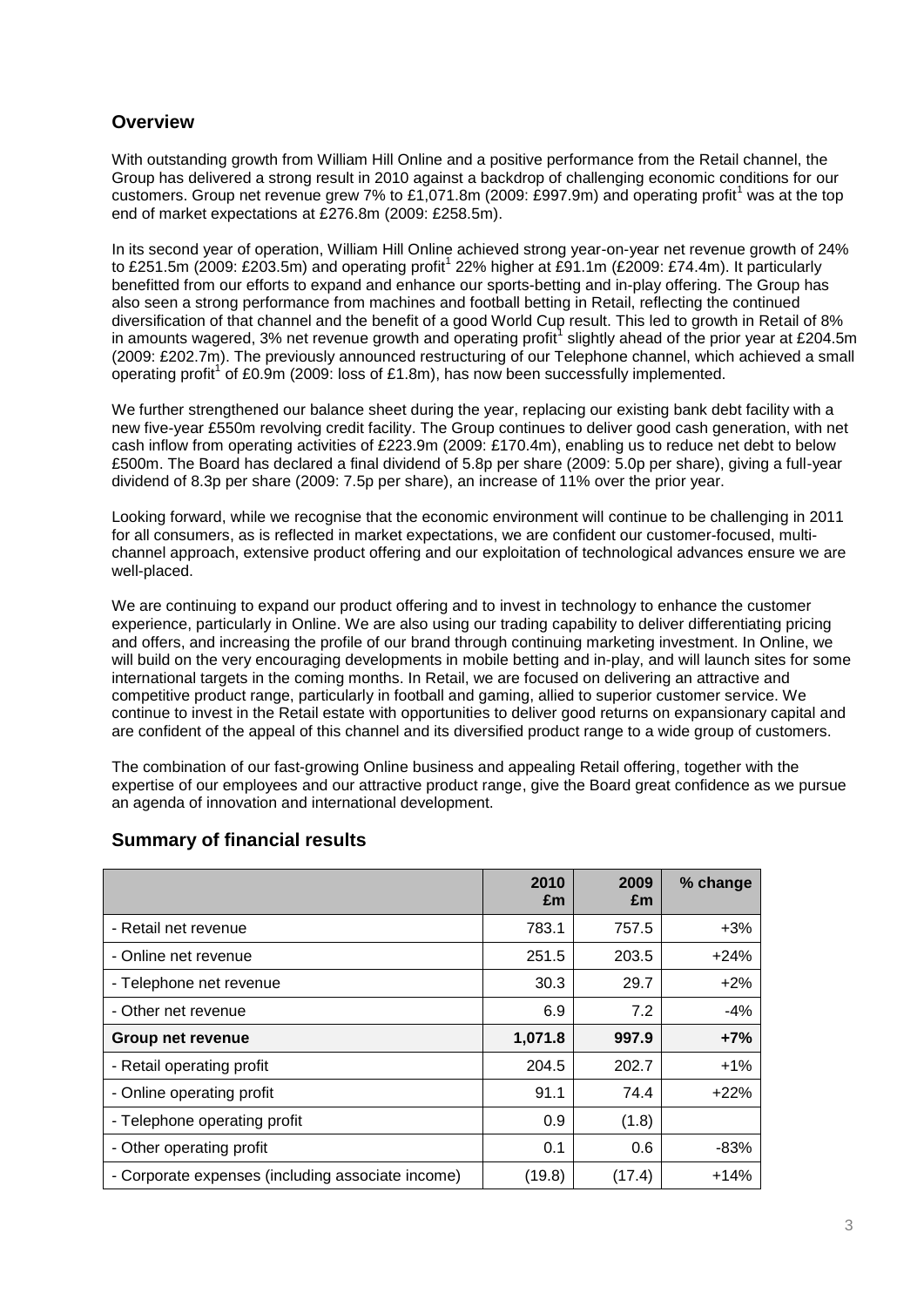# **Overview**

With outstanding growth from William Hill Online and a positive performance from the Retail channel, the Group has delivered a strong result in 2010 against a backdrop of challenging economic conditions for our customers. Group net revenue grew 7% to £1,071.8m (2009: £997.9m) and operating profit<sup>1</sup> was at the top end of market expectations at £276.8m (2009: £258.5m).

In its second year of operation, William Hill Online achieved strong year-on-year net revenue growth of 24% to £251.5m (2009: £203.5m) and operating profit<sup>1</sup> 22% higher at £91.1m (£2009: £74.4m). It particularly benefitted from our efforts to expand and enhance our sports-betting and in-play offering. The Group has also seen a strong performance from machines and football betting in Retail, reflecting the continued diversification of that channel and the benefit of a good World Cup result. This led to growth in Retail of 8% in amounts wagered, 3% net revenue growth and operating profit<sup>1</sup> slightly ahead of the prior year at £204.5m (2009: £202.7m). The previously announced restructuring of our Telephone channel, which achieved a small operating profit<sup>1</sup> of £0.9m (2009: loss of £1.8m), has now been successfully implemented.

We further strengthened our balance sheet during the year, replacing our existing bank debt facility with a new five-year £550m revolving credit facility. The Group continues to deliver good cash generation, with net cash inflow from operating activities of £223.9m (2009: £170.4m), enabling us to reduce net debt to below £500m. The Board has declared a final dividend of 5.8p per share (2009: 5.0p per share), giving a full-year dividend of 8.3p per share (2009: 7.5p per share), an increase of 11% over the prior year.

Looking forward, while we recognise that the economic environment will continue to be challenging in 2011 for all consumers, as is reflected in market expectations, we are confident our customer-focused, multichannel approach, extensive product offering and our exploitation of technological advances ensure we are well-placed.

We are continuing to expand our product offering and to invest in technology to enhance the customer experience, particularly in Online. We are also using our trading capability to deliver differentiating pricing and offers, and increasing the profile of our brand through continuing marketing investment. In Online, we will build on the very encouraging developments in mobile betting and in-play, and will launch sites for some international targets in the coming months. In Retail, we are focused on delivering an attractive and competitive product range, particularly in football and gaming, allied to superior customer service. We continue to invest in the Retail estate with opportunities to deliver good returns on expansionary capital and are confident of the appeal of this channel and its diversified product range to a wide group of customers.

The combination of our fast-growing Online business and appealing Retail offering, together with the expertise of our employees and our attractive product range, give the Board great confidence as we pursue an agenda of innovation and international development.

|                                                   | 2010<br>£m | 2009<br>£m | % change |
|---------------------------------------------------|------------|------------|----------|
| - Retail net revenue                              | 783.1      | 757.5      | $+3%$    |
| - Online net revenue                              | 251.5      | 203.5      | $+24%$   |
| - Telephone net revenue                           | 30.3       | 29.7       | $+2%$    |
| - Other net revenue                               | 6.9        | 7.2        | $-4%$    |
| <b>Group net revenue</b>                          | 1,071.8    | 997.9      | $+7%$    |
| - Retail operating profit                         | 204.5      | 202.7      | $+1%$    |
| - Online operating profit                         | 91.1       | 74.4       | $+22%$   |
| - Telephone operating profit                      | 0.9        | (1.8)      |          |
| - Other operating profit                          | 0.1        | 0.6        | $-83%$   |
| - Corporate expenses (including associate income) | (19.8)     | (17.4)     | $+14%$   |

# **Summary of financial results**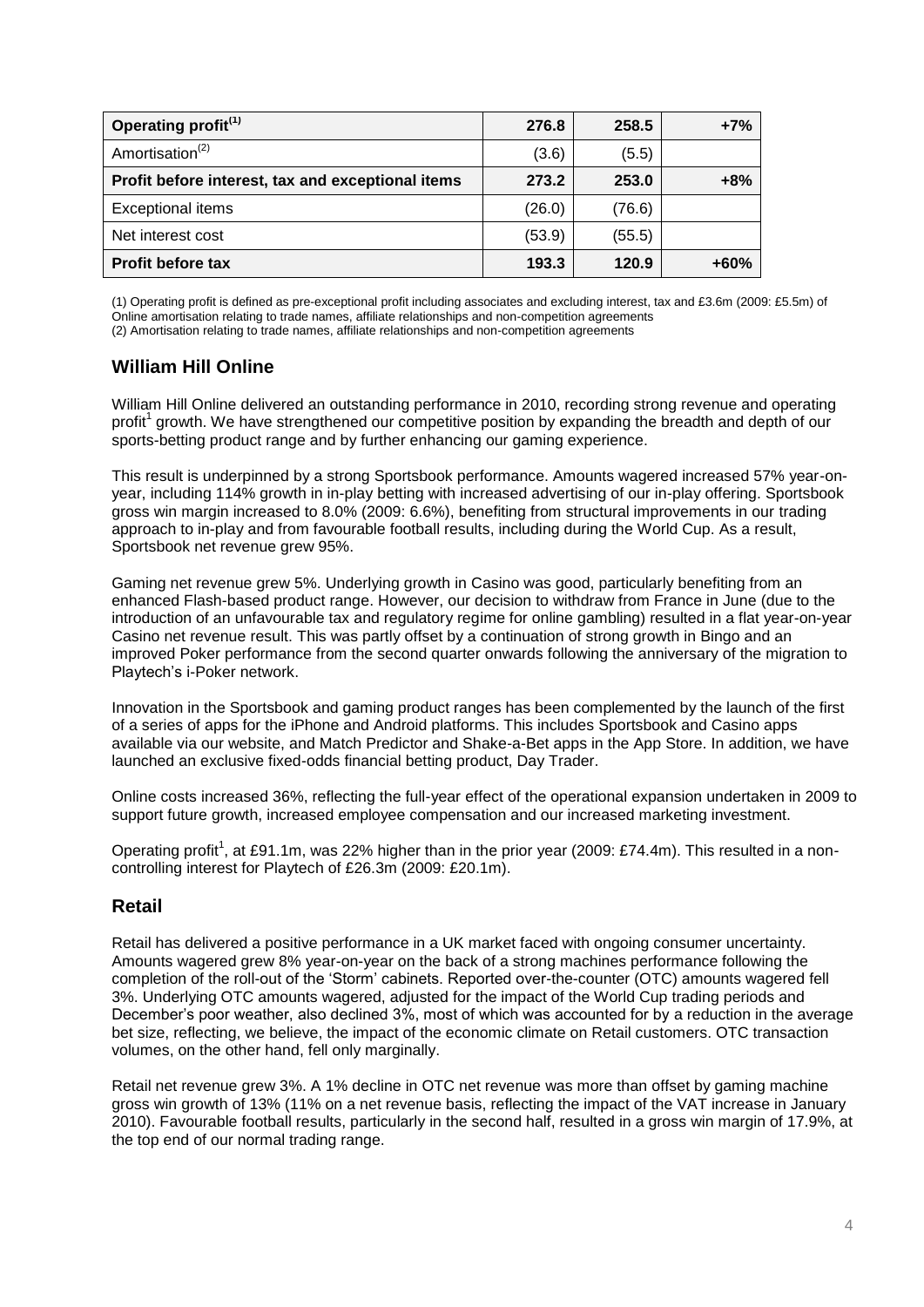| Operating profit <sup>(1)</sup>                   | 276.8  | 258.5  | $+7%$  |
|---------------------------------------------------|--------|--------|--------|
| Amortisation <sup>(2)</sup>                       | (3.6)  | (5.5)  |        |
| Profit before interest, tax and exceptional items | 273.2  | 253.0  | $+8%$  |
| <b>Exceptional items</b>                          | (26.0) | (76.6) |        |
| Net interest cost                                 | (53.9) | (55.5) |        |
| <b>Profit before tax</b>                          | 193.3  | 120.9  | $+60%$ |

(1) Operating profit is defined as pre-exceptional profit including associates and excluding interest, tax and £3.6m (2009: £5.5m) of Online amortisation relating to trade names, affiliate relationships and non-competition agreements (2) Amortisation relating to trade names, affiliate relationships and non-competition agreements

# **William Hill Online**

William Hill Online delivered an outstanding performance in 2010, recording strong revenue and operating profit<sup>1</sup> growth. We have strengthened our competitive position by expanding the breadth and depth of our sports-betting product range and by further enhancing our gaming experience.

This result is underpinned by a strong Sportsbook performance. Amounts wagered increased 57% year-onyear, including 114% growth in in-play betting with increased advertising of our in-play offering. Sportsbook gross win margin increased to 8.0% (2009: 6.6%), benefiting from structural improvements in our trading approach to in-play and from favourable football results, including during the World Cup. As a result, Sportsbook net revenue grew 95%.

Gaming net revenue grew 5%. Underlying growth in Casino was good, particularly benefiting from an enhanced Flash-based product range. However, our decision to withdraw from France in June (due to the introduction of an unfavourable tax and regulatory regime for online gambling) resulted in a flat year-on-year Casino net revenue result. This was partly offset by a continuation of strong growth in Bingo and an improved Poker performance from the second quarter onwards following the anniversary of the migration to Playtech"s i-Poker network.

Innovation in the Sportsbook and gaming product ranges has been complemented by the launch of the first of a series of apps for the iPhone and Android platforms. This includes Sportsbook and Casino apps available via our website, and Match Predictor and Shake-a-Bet apps in the App Store. In addition, we have launched an exclusive fixed-odds financial betting product, Day Trader.

Online costs increased 36%, reflecting the full-year effect of the operational expansion undertaken in 2009 to support future growth, increased employee compensation and our increased marketing investment.

Operating profit<sup>1</sup>, at £91.1m, was 22% higher than in the prior year (2009: £74.4m). This resulted in a noncontrolling interest for Playtech of £26.3m (2009: £20.1m).

# **Retail**

Retail has delivered a positive performance in a UK market faced with ongoing consumer uncertainty. Amounts wagered grew 8% year-on-year on the back of a strong machines performance following the completion of the roll-out of the "Storm" cabinets. Reported over-the-counter (OTC) amounts wagered fell 3%. Underlying OTC amounts wagered, adjusted for the impact of the World Cup trading periods and December"s poor weather, also declined 3%, most of which was accounted for by a reduction in the average bet size, reflecting, we believe, the impact of the economic climate on Retail customers. OTC transaction volumes, on the other hand, fell only marginally.

Retail net revenue grew 3%. A 1% decline in OTC net revenue was more than offset by gaming machine gross win growth of 13% (11% on a net revenue basis, reflecting the impact of the VAT increase in January 2010). Favourable football results, particularly in the second half, resulted in a gross win margin of 17.9%, at the top end of our normal trading range.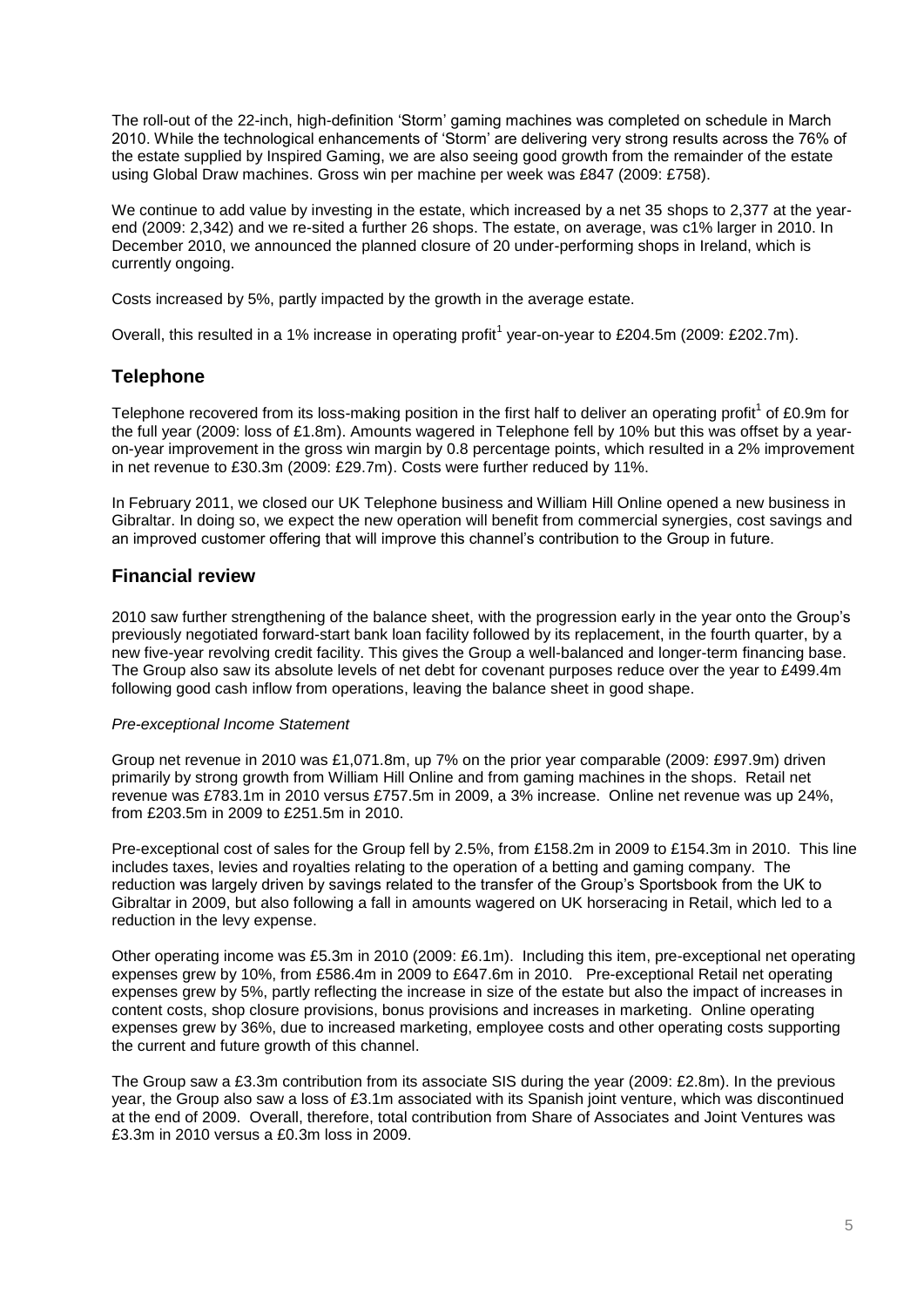The roll-out of the 22-inch, high-definition "Storm" gaming machines was completed on schedule in March 2010. While the technological enhancements of "Storm" are delivering very strong results across the 76% of the estate supplied by Inspired Gaming, we are also seeing good growth from the remainder of the estate using Global Draw machines. Gross win per machine per week was £847 (2009: £758).

We continue to add value by investing in the estate, which increased by a net 35 shops to 2,377 at the yearend (2009: 2,342) and we re-sited a further 26 shops. The estate, on average, was c1% larger in 2010. In December 2010, we announced the planned closure of 20 under-performing shops in Ireland, which is currently ongoing.

Costs increased by 5%, partly impacted by the growth in the average estate.

Overall, this resulted in a 1% increase in operating profit<sup>1</sup> year-on-year to £204.5m (2009: £202.7m).

## **Telephone**

Telephone recovered from its loss-making position in the first half to deliver an operating profit<sup>1</sup> of £0.9m for the full year (2009: loss of £1.8m). Amounts wagered in Telephone fell by 10% but this was offset by a yearon-year improvement in the gross win margin by 0.8 percentage points, which resulted in a 2% improvement in net revenue to £30.3m (2009: £29.7m). Costs were further reduced by 11%.

In February 2011, we closed our UK Telephone business and William Hill Online opened a new business in Gibraltar. In doing so, we expect the new operation will benefit from commercial synergies, cost savings and an improved customer offering that will improve this channel"s contribution to the Group in future.

# **Financial review**

2010 saw further strengthening of the balance sheet, with the progression early in the year onto the Group"s previously negotiated forward-start bank loan facility followed by its replacement, in the fourth quarter, by a new five-year revolving credit facility. This gives the Group a well-balanced and longer-term financing base. The Group also saw its absolute levels of net debt for covenant purposes reduce over the year to £499.4m following good cash inflow from operations, leaving the balance sheet in good shape.

## *Pre-exceptional Income Statement*

Group net revenue in 2010 was £1,071.8m, up 7% on the prior year comparable (2009: £997.9m) driven primarily by strong growth from William Hill Online and from gaming machines in the shops. Retail net revenue was £783.1m in 2010 versus £757.5m in 2009, a 3% increase. Online net revenue was up 24%, from £203.5m in 2009 to £251.5m in 2010.

Pre-exceptional cost of sales for the Group fell by 2.5%, from £158.2m in 2009 to £154.3m in 2010. This line includes taxes, levies and royalties relating to the operation of a betting and gaming company. The reduction was largely driven by savings related to the transfer of the Group"s Sportsbook from the UK to Gibraltar in 2009, but also following a fall in amounts wagered on UK horseracing in Retail, which led to a reduction in the levy expense.

Other operating income was £5.3m in 2010 (2009: £6.1m). Including this item, pre-exceptional net operating expenses grew by 10%, from £586.4m in 2009 to £647.6m in 2010. Pre-exceptional Retail net operating expenses grew by 5%, partly reflecting the increase in size of the estate but also the impact of increases in content costs, shop closure provisions, bonus provisions and increases in marketing. Online operating expenses grew by 36%, due to increased marketing, employee costs and other operating costs supporting the current and future growth of this channel.

The Group saw a £3.3m contribution from its associate SIS during the year (2009: £2.8m). In the previous year, the Group also saw a loss of £3.1m associated with its Spanish joint venture, which was discontinued at the end of 2009. Overall, therefore, total contribution from Share of Associates and Joint Ventures was £3.3m in 2010 versus a £0.3m loss in 2009.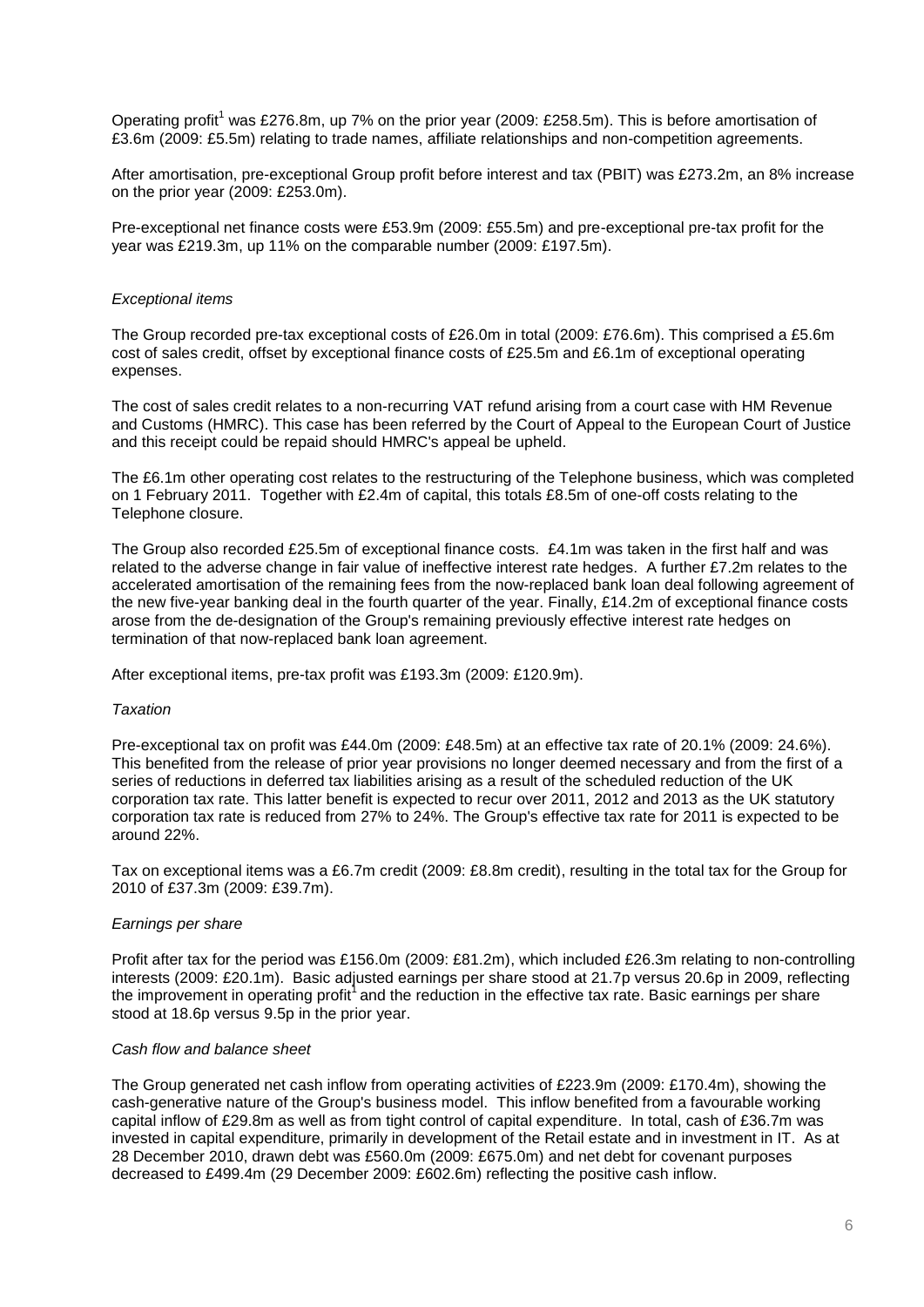Operating profit<sup>1</sup> was £276.8m, up 7% on the prior year (2009: £258.5m). This is before amortisation of £3.6m (2009: £5.5m) relating to trade names, affiliate relationships and non-competition agreements.

After amortisation, pre-exceptional Group profit before interest and tax (PBIT) was £273.2m, an 8% increase on the prior year (2009: £253.0m).

Pre-exceptional net finance costs were £53.9m (2009: £55.5m) and pre-exceptional pre-tax profit for the year was £219.3m, up 11% on the comparable number (2009: £197.5m).

## *Exceptional items*

The Group recorded pre-tax exceptional costs of £26.0m in total (2009: £76.6m). This comprised a £5.6m cost of sales credit, offset by exceptional finance costs of £25.5m and £6.1m of exceptional operating expenses.

The cost of sales credit relates to a non-recurring VAT refund arising from a court case with HM Revenue and Customs (HMRC). This case has been referred by the Court of Appeal to the European Court of Justice and this receipt could be repaid should HMRC's appeal be upheld.

The £6.1m other operating cost relates to the restructuring of the Telephone business, which was completed on 1 February 2011. Together with £2.4m of capital, this totals £8.5m of one-off costs relating to the Telephone closure.

The Group also recorded £25.5m of exceptional finance costs. £4.1m was taken in the first half and was related to the adverse change in fair value of ineffective interest rate hedges. A further £7.2m relates to the accelerated amortisation of the remaining fees from the now-replaced bank loan deal following agreement of the new five-year banking deal in the fourth quarter of the year. Finally, £14.2m of exceptional finance costs arose from the de-designation of the Group's remaining previously effective interest rate hedges on termination of that now-replaced bank loan agreement.

After exceptional items, pre-tax profit was £193.3m (2009: £120.9m).

## *Taxation*

Pre-exceptional tax on profit was £44.0m (2009: £48.5m) at an effective tax rate of 20.1% (2009: 24.6%). This benefited from the release of prior year provisions no longer deemed necessary and from the first of a series of reductions in deferred tax liabilities arising as a result of the scheduled reduction of the UK corporation tax rate. This latter benefit is expected to recur over 2011, 2012 and 2013 as the UK statutory corporation tax rate is reduced from 27% to 24%. The Group's effective tax rate for 2011 is expected to be around 22%.

Tax on exceptional items was a £6.7m credit (2009: £8.8m credit), resulting in the total tax for the Group for 2010 of £37.3m (2009: £39.7m).

## *Earnings per share*

Profit after tax for the period was £156.0m (2009: £81.2m), which included £26.3m relating to non-controlling interests (2009: £20.1m). Basic adjusted earnings per share stood at 21.7p versus 20.6p in 2009, reflecting the improvement in operating profit<sup>1</sup> and the reduction in the effective tax rate. Basic earnings per share stood at 18.6p versus 9.5p in the prior year.

## *Cash flow and balance sheet*

The Group generated net cash inflow from operating activities of £223.9m (2009: £170.4m), showing the cash-generative nature of the Group's business model. This inflow benefited from a favourable working capital inflow of £29.8m as well as from tight control of capital expenditure. In total, cash of £36.7m was invested in capital expenditure, primarily in development of the Retail estate and in investment in IT. As at 28 December 2010, drawn debt was £560.0m (2009: £675.0m) and net debt for covenant purposes decreased to £499.4m (29 December 2009: £602.6m) reflecting the positive cash inflow.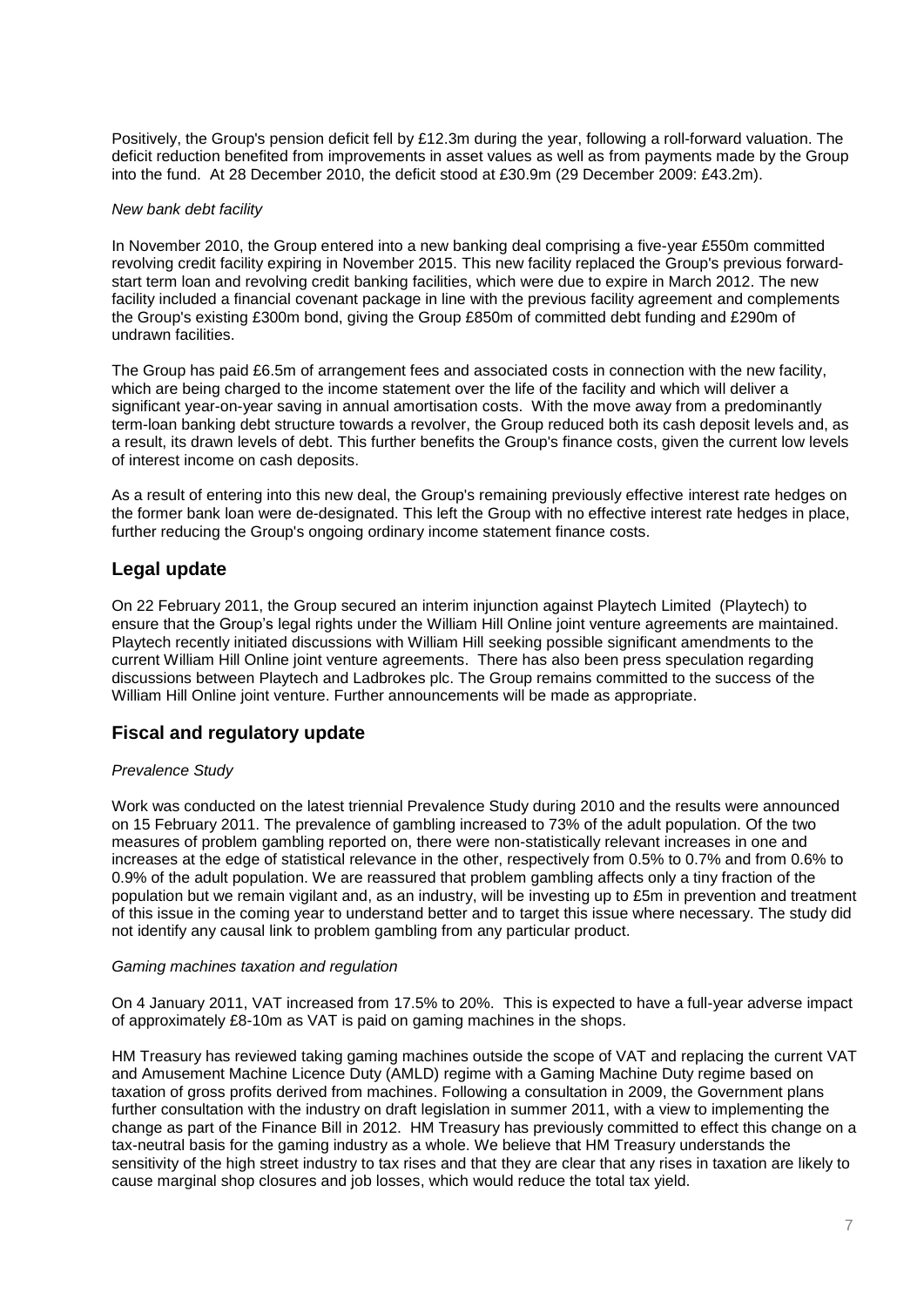Positively, the Group's pension deficit fell by £12.3m during the year, following a roll-forward valuation. The deficit reduction benefited from improvements in asset values as well as from payments made by the Group into the fund. At 28 December 2010, the deficit stood at £30.9m (29 December 2009: £43.2m).

## *New bank debt facility*

In November 2010, the Group entered into a new banking deal comprising a five-year £550m committed revolving credit facility expiring in November 2015. This new facility replaced the Group's previous forwardstart term loan and revolving credit banking facilities, which were due to expire in March 2012. The new facility included a financial covenant package in line with the previous facility agreement and complements the Group's existing £300m bond, giving the Group £850m of committed debt funding and £290m of undrawn facilities.

The Group has paid £6.5m of arrangement fees and associated costs in connection with the new facility, which are being charged to the income statement over the life of the facility and which will deliver a significant year-on-year saving in annual amortisation costs. With the move away from a predominantly term-loan banking debt structure towards a revolver, the Group reduced both its cash deposit levels and, as a result, its drawn levels of debt. This further benefits the Group's finance costs, given the current low levels of interest income on cash deposits.

As a result of entering into this new deal, the Group's remaining previously effective interest rate hedges on the former bank loan were de-designated. This left the Group with no effective interest rate hedges in place, further reducing the Group's ongoing ordinary income statement finance costs.

## **Legal update**

On 22 February 2011, the Group secured an interim injunction against Playtech Limited (Playtech) to ensure that the Group"s legal rights under the William Hill Online joint venture agreements are maintained. Playtech recently initiated discussions with William Hill seeking possible significant amendments to the current William Hill Online joint venture agreements. There has also been press speculation regarding discussions between Playtech and Ladbrokes plc. The Group remains committed to the success of the William Hill Online joint venture. Further announcements will be made as appropriate.

# **Fiscal and regulatory update**

## *Prevalence Study*

Work was conducted on the latest triennial Prevalence Study during 2010 and the results were announced on 15 February 2011. The prevalence of gambling increased to 73% of the adult population. Of the two measures of problem gambling reported on, there were non-statistically relevant increases in one and increases at the edge of statistical relevance in the other, respectively from 0.5% to 0.7% and from 0.6% to 0.9% of the adult population. We are reassured that problem gambling affects only a tiny fraction of the population but we remain vigilant and, as an industry, will be investing up to £5m in prevention and treatment of this issue in the coming year to understand better and to target this issue where necessary. The study did not identify any causal link to problem gambling from any particular product.

## *Gaming machines taxation and regulation*

On 4 January 2011, VAT increased from 17.5% to 20%. This is expected to have a full-year adverse impact of approximately £8-10m as VAT is paid on gaming machines in the shops.

HM Treasury has reviewed taking gaming machines outside the scope of VAT and replacing the current VAT and Amusement Machine Licence Duty (AMLD) regime with a Gaming Machine Duty regime based on taxation of gross profits derived from machines. Following a consultation in 2009, the Government plans further consultation with the industry on draft legislation in summer 2011, with a view to implementing the change as part of the Finance Bill in 2012. HM Treasury has previously committed to effect this change on a tax-neutral basis for the gaming industry as a whole. We believe that HM Treasury understands the sensitivity of the high street industry to tax rises and that they are clear that any rises in taxation are likely to cause marginal shop closures and job losses, which would reduce the total tax yield.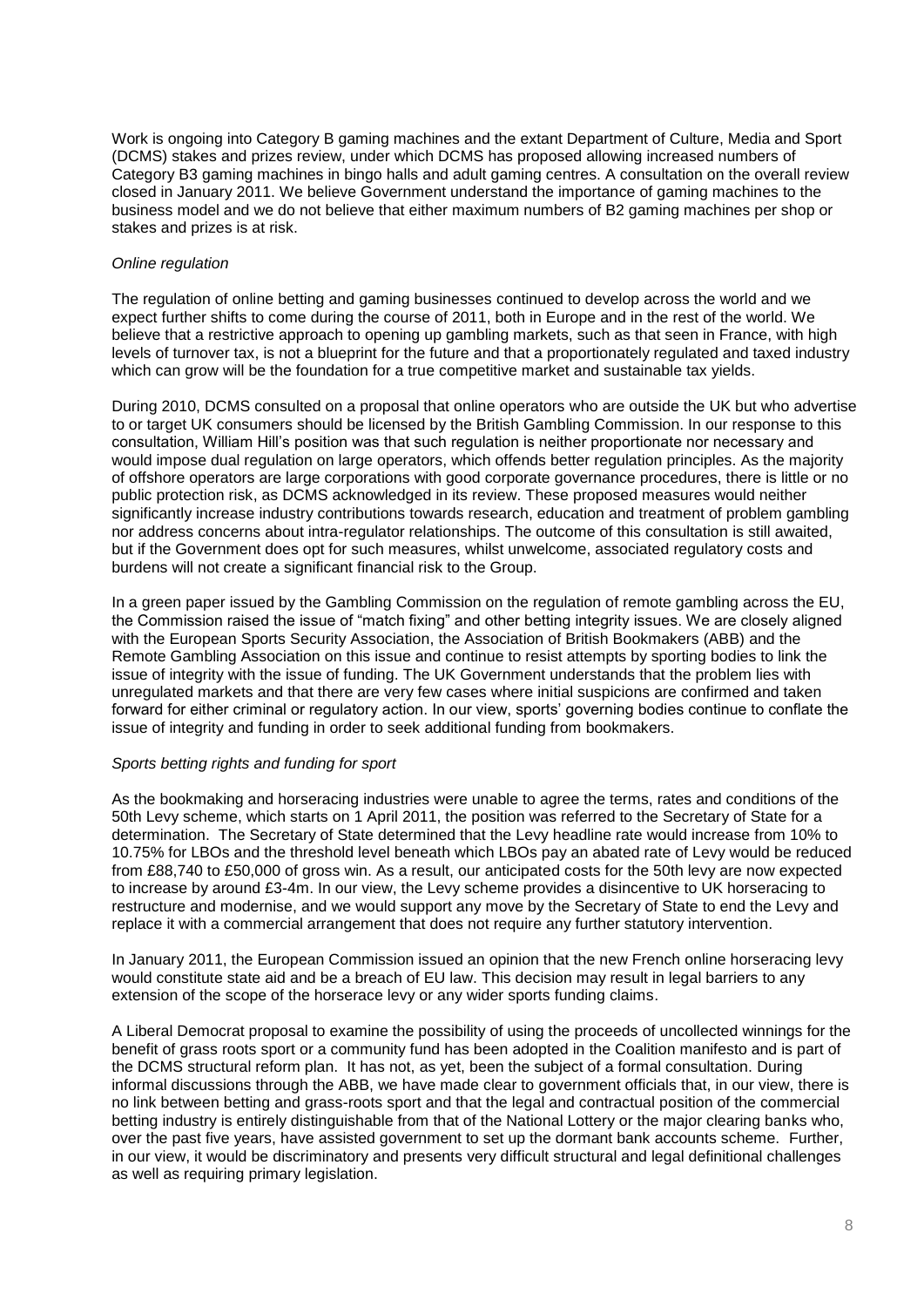Work is ongoing into Category B gaming machines and the extant Department of Culture, Media and Sport (DCMS) stakes and prizes review, under which DCMS has proposed allowing increased numbers of Category B3 gaming machines in bingo halls and adult gaming centres. A consultation on the overall review closed in January 2011. We believe Government understand the importance of gaming machines to the business model and we do not believe that either maximum numbers of B2 gaming machines per shop or stakes and prizes is at risk.

## *Online regulation*

The regulation of online betting and gaming businesses continued to develop across the world and we expect further shifts to come during the course of 2011, both in Europe and in the rest of the world. We believe that a restrictive approach to opening up gambling markets, such as that seen in France, with high levels of turnover tax, is not a blueprint for the future and that a proportionately regulated and taxed industry which can grow will be the foundation for a true competitive market and sustainable tax yields.

During 2010, DCMS consulted on a proposal that online operators who are outside the UK but who advertise to or target UK consumers should be licensed by the British Gambling Commission. In our response to this consultation, William Hill"s position was that such regulation is neither proportionate nor necessary and would impose dual regulation on large operators, which offends better regulation principles. As the majority of offshore operators are large corporations with good corporate governance procedures, there is little or no public protection risk, as DCMS acknowledged in its review. These proposed measures would neither significantly increase industry contributions towards research, education and treatment of problem gambling nor address concerns about intra-regulator relationships. The outcome of this consultation is still awaited, but if the Government does opt for such measures, whilst unwelcome, associated regulatory costs and burdens will not create a significant financial risk to the Group.

In a green paper issued by the Gambling Commission on the regulation of remote gambling across the EU, the Commission raised the issue of "match fixing" and other betting integrity issues. We are closely aligned with the European Sports Security Association, the Association of British Bookmakers (ABB) and the Remote Gambling Association on this issue and continue to resist attempts by sporting bodies to link the issue of integrity with the issue of funding. The UK Government understands that the problem lies with unregulated markets and that there are very few cases where initial suspicions are confirmed and taken forward for either criminal or regulatory action. In our view, sports" governing bodies continue to conflate the issue of integrity and funding in order to seek additional funding from bookmakers.

## *Sports betting rights and funding for sport*

As the bookmaking and horseracing industries were unable to agree the terms, rates and conditions of the 50th Levy scheme, which starts on 1 April 2011, the position was referred to the Secretary of State for a determination. The Secretary of State determined that the Levy headline rate would increase from 10% to 10.75% for LBOs and the threshold level beneath which LBOs pay an abated rate of Levy would be reduced from £88,740 to £50,000 of gross win. As a result, our anticipated costs for the 50th levy are now expected to increase by around £3-4m. In our view, the Levy scheme provides a disincentive to UK horseracing to restructure and modernise, and we would support any move by the Secretary of State to end the Levy and replace it with a commercial arrangement that does not require any further statutory intervention.

In January 2011, the European Commission issued an opinion that the new French online horseracing levy would constitute state aid and be a breach of EU law. This decision may result in legal barriers to any extension of the scope of the horserace levy or any wider sports funding claims.

A Liberal Democrat proposal to examine the possibility of using the proceeds of uncollected winnings for the benefit of grass roots sport or a community fund has been adopted in the Coalition manifesto and is part of the DCMS structural reform plan. It has not, as yet, been the subject of a formal consultation. During informal discussions through the ABB, we have made clear to government officials that, in our view, there is no link between betting and grass-roots sport and that the legal and contractual position of the commercial betting industry is entirely distinguishable from that of the National Lottery or the major clearing banks who, over the past five years, have assisted government to set up the dormant bank accounts scheme. Further, in our view, it would be discriminatory and presents very difficult structural and legal definitional challenges as well as requiring primary legislation.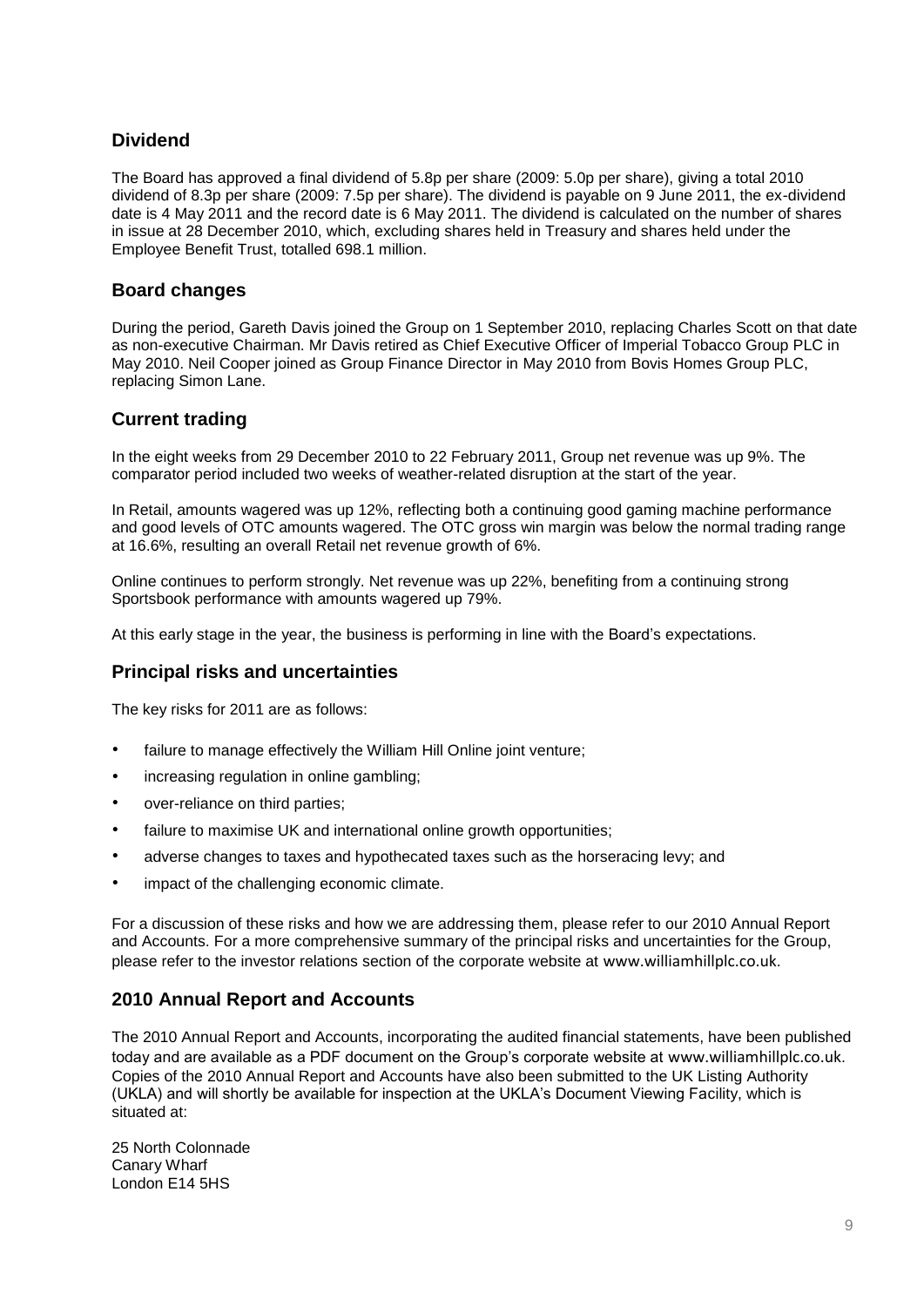# **Dividend**

The Board has approved a final dividend of 5.8p per share (2009: 5.0p per share), giving a total 2010 dividend of 8.3p per share (2009: 7.5p per share). The dividend is payable on 9 June 2011, the ex-dividend date is 4 May 2011 and the record date is 6 May 2011. The dividend is calculated on the number of shares in issue at 28 December 2010, which, excluding shares held in Treasury and shares held under the Employee Benefit Trust, totalled 698.1 million.

# **Board changes**

During the period, Gareth Davis joined the Group on 1 September 2010, replacing Charles Scott on that date as non-executive Chairman. Mr Davis retired as Chief Executive Officer of Imperial Tobacco Group PLC in May 2010. Neil Cooper joined as Group Finance Director in May 2010 from Bovis Homes Group PLC, replacing Simon Lane.

# **Current trading**

In the eight weeks from 29 December 2010 to 22 February 2011, Group net revenue was up 9%. The comparator period included two weeks of weather-related disruption at the start of the year.

In Retail, amounts wagered was up 12%, reflecting both a continuing good gaming machine performance and good levels of OTC amounts wagered. The OTC gross win margin was below the normal trading range at 16.6%, resulting an overall Retail net revenue growth of 6%.

Online continues to perform strongly. Net revenue was up 22%, benefiting from a continuing strong Sportsbook performance with amounts wagered up 79%.

At this early stage in the year, the business is performing in line with the Board"s expectations.

# **Principal risks and uncertainties**

The key risks for 2011 are as follows:

- failure to manage effectively the William Hill Online joint venture;
- increasing regulation in online gambling;
- over-reliance on third parties;
- failure to maximise UK and international online growth opportunities;
- adverse changes to taxes and hypothecated taxes such as the horseracing levy; and
- impact of the challenging economic climate.

For a discussion of these risks and how we are addressing them, please refer to our 2010 Annual Report and Accounts. For a more comprehensive summary of the principal risks and uncertainties for the Group, please refer to the investor relations section of the corporate website at [www.williamhillplc.co.uk](http://www.williamhillplc.co.uk/).

# **2010 Annual Report and Accounts**

The 2010 Annual Report and Accounts, incorporating the audited financial statements, have been published today and are available as a PDF document on the Group"s corporate website at [www.williamhillplc.co.uk](http://www.williamhillplc.co.uk/). Copies of the 2010 Annual Report and Accounts have also been submitted to the UK Listing Authority (UKLA) and will shortly be available for inspection at the UKLA"s Document Viewing Facility, which is situated at:

25 North Colonnade Canary Wharf London E14 5HS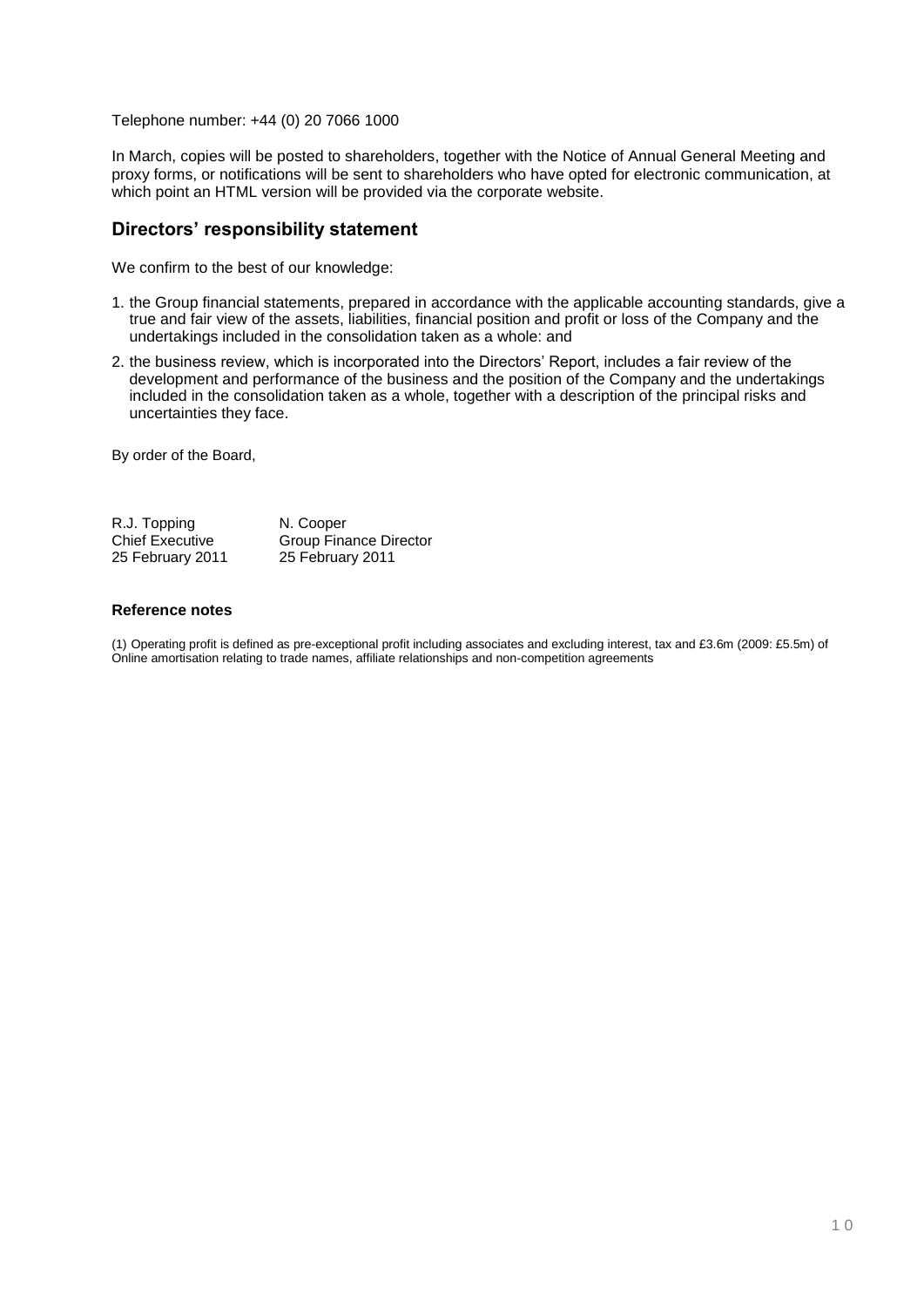Telephone number: +44 (0) 20 7066 1000

In March, copies will be posted to shareholders, together with the Notice of Annual General Meeting and proxy forms, or notifications will be sent to shareholders who have opted for electronic communication, at which point an HTML version will be provided via the corporate website.

## **Directors' responsibility statement**

We confirm to the best of our knowledge:

- 1. the Group financial statements, prepared in accordance with the applicable accounting standards, give a true and fair view of the assets, liabilities, financial position and profit or loss of the Company and the undertakings included in the consolidation taken as a whole: and
- 2. the business review, which is incorporated into the Directors" Report, includes a fair review of the development and performance of the business and the position of the Company and the undertakings included in the consolidation taken as a whole, together with a description of the principal risks and uncertainties they face.

By order of the Board,

| R.J. Topping           | N. Cooper                     |
|------------------------|-------------------------------|
| <b>Chief Executive</b> | <b>Group Finance Director</b> |
| 25 February 2011       | 25 February 2011              |

## **Reference notes**

(1) Operating profit is defined as pre-exceptional profit including associates and excluding interest, tax and £3.6m (2009: £5.5m) of Online amortisation relating to trade names, affiliate relationships and non-competition agreements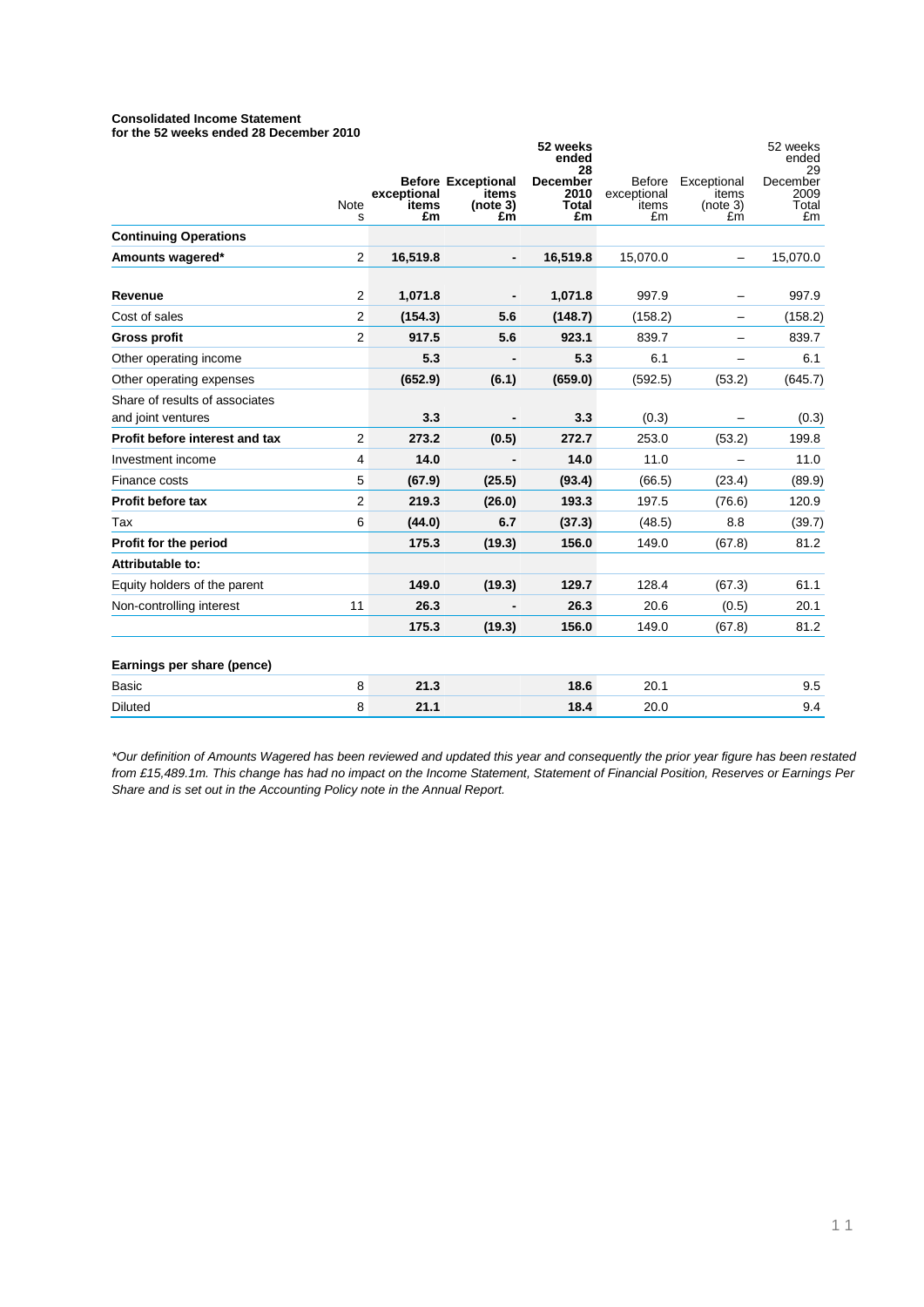#### **Consolidated Income Statement for the 52 weeks ended 28 December 2010**

|                                                      |                |                            |                                                      | 52 weeks<br>ended<br>28                |                                             |                                        | 52 weeks<br>ended<br>29         |
|------------------------------------------------------|----------------|----------------------------|------------------------------------------------------|----------------------------------------|---------------------------------------------|----------------------------------------|---------------------------------|
|                                                      | Note<br>s      | exceptional<br>items<br>£m | <b>Before Exceptional</b><br>items<br>(note 3)<br>£m | <b>December</b><br>2010<br>Total<br>£m | <b>Before</b><br>exceptional<br>items<br>£m | Exceptional<br>items<br>(note 3)<br>£m | December<br>2009<br>Total<br>£m |
| <b>Continuing Operations</b>                         |                |                            |                                                      |                                        |                                             |                                        |                                 |
| Amounts wagered*                                     | $\overline{2}$ | 16,519.8                   |                                                      | 16,519.8                               | 15,070.0                                    |                                        | 15,070.0                        |
| Revenue                                              | 2              | 1,071.8                    |                                                      | 1,071.8                                | 997.9                                       |                                        | 997.9                           |
| Cost of sales                                        | $\overline{2}$ | (154.3)                    | 5.6                                                  | (148.7)                                | (158.2)                                     |                                        | (158.2)                         |
| <b>Gross profit</b>                                  | $\overline{2}$ | 917.5                      | 5.6                                                  | 923.1                                  | 839.7                                       |                                        | 839.7                           |
| Other operating income                               |                | 5.3                        |                                                      | 5.3                                    | 6.1                                         |                                        | 6.1                             |
| Other operating expenses                             |                | (652.9)                    | (6.1)                                                | (659.0)                                | (592.5)                                     | (53.2)                                 | (645.7)                         |
| Share of results of associates<br>and joint ventures |                | 3.3                        |                                                      | 3.3                                    | (0.3)                                       |                                        | (0.3)                           |
| Profit before interest and tax                       | $\overline{2}$ | 273.2                      | (0.5)                                                | 272.7                                  | 253.0                                       | (53.2)                                 | 199.8                           |
| Investment income                                    | 4              | 14.0                       |                                                      | 14.0                                   | 11.0                                        |                                        | 11.0                            |
| Finance costs                                        | 5              | (67.9)                     | (25.5)                                               | (93.4)                                 | (66.5)                                      | (23.4)                                 | (89.9)                          |
| Profit before tax                                    | $\overline{2}$ | 219.3                      | (26.0)                                               | 193.3                                  | 197.5                                       | (76.6)                                 | 120.9                           |
| Tax                                                  | 6              | (44.0)                     | 6.7                                                  | (37.3)                                 | (48.5)                                      | 8.8                                    | (39.7)                          |
| Profit for the period                                |                | 175.3                      | (19.3)                                               | 156.0                                  | 149.0                                       | (67.8)                                 | 81.2                            |
| Attributable to:                                     |                |                            |                                                      |                                        |                                             |                                        |                                 |
| Equity holders of the parent                         |                | 149.0                      | (19.3)                                               | 129.7                                  | 128.4                                       | (67.3)                                 | 61.1                            |
| Non-controlling interest                             | 11             | 26.3                       |                                                      | 26.3                                   | 20.6                                        | (0.5)                                  | 20.1                            |
|                                                      |                | 175.3                      | (19.3)                                               | 156.0                                  | 149.0                                       | (67.8)                                 | 81.2                            |
| Earnings per share (pence)                           |                |                            |                                                      |                                        |                                             |                                        |                                 |
| <b>Basic</b>                                         | 8              | 21.3                       |                                                      | 18.6                                   | 20.1                                        |                                        | 9.5                             |
| <b>Diluted</b>                                       | 8              | 21.1                       |                                                      | 18.4                                   | 20.0                                        |                                        | 9.4                             |

*\*Our definition of Amounts Wagered has been reviewed and updated this year and consequently the prior year figure has been restated from £15,489.1m. This change has had no impact on the Income Statement, Statement of Financial Position, Reserves or Earnings Per Share and is set out in the Accounting Policy note in the Annual Report.*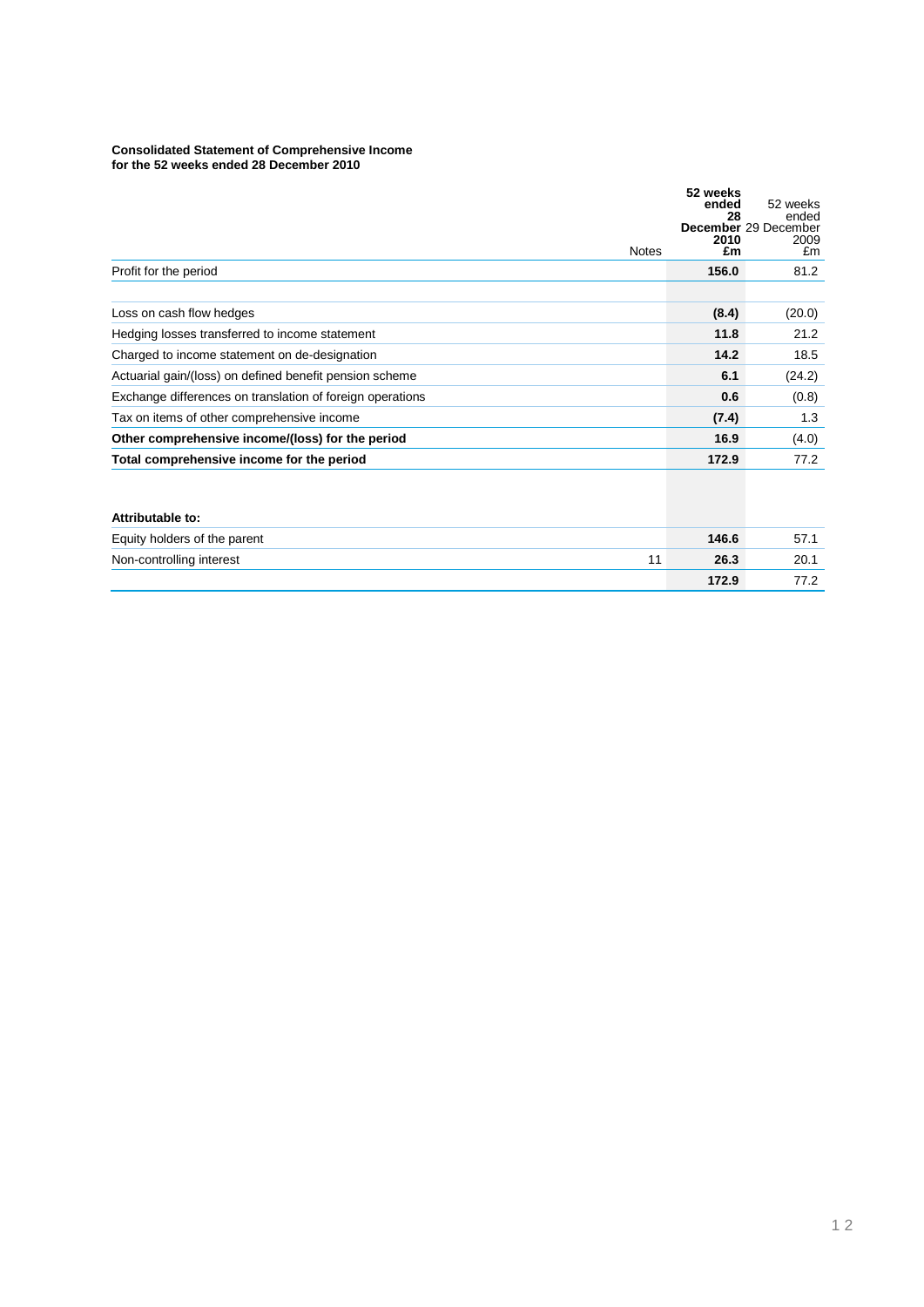#### **Consolidated Statement of Comprehensive Income for the 52 weeks ended 28 December 2010**

|                                                           | <b>Notes</b> | 52 weeks<br>ended<br>28<br>2010<br>£m | 52 weeks<br>ended<br>December 29 December<br>2009<br>£m |
|-----------------------------------------------------------|--------------|---------------------------------------|---------------------------------------------------------|
| Profit for the period                                     |              | 156.0                                 | 81.2                                                    |
|                                                           |              |                                       |                                                         |
| Loss on cash flow hedges                                  |              | (8.4)                                 | (20.0)                                                  |
| Hedging losses transferred to income statement            |              | 11.8                                  | 21.2                                                    |
| Charged to income statement on de-designation             |              | 14.2                                  | 18.5                                                    |
| Actuarial gain/(loss) on defined benefit pension scheme   |              | 6.1                                   | (24.2)                                                  |
| Exchange differences on translation of foreign operations |              | 0.6                                   | (0.8)                                                   |
| Tax on items of other comprehensive income                |              | (7.4)                                 | 1.3                                                     |
| Other comprehensive income/(loss) for the period          |              | 16.9                                  | (4.0)                                                   |
| Total comprehensive income for the period                 |              | 172.9                                 | 77.2                                                    |
|                                                           |              |                                       |                                                         |

| Attributable to:               |       |      |
|--------------------------------|-------|------|
| Equity holders of the parent   | 146.6 | 57.7 |
| Non-controlling interest<br>11 | 26.3  | 20.1 |
|                                | 172.9 | 77 2 |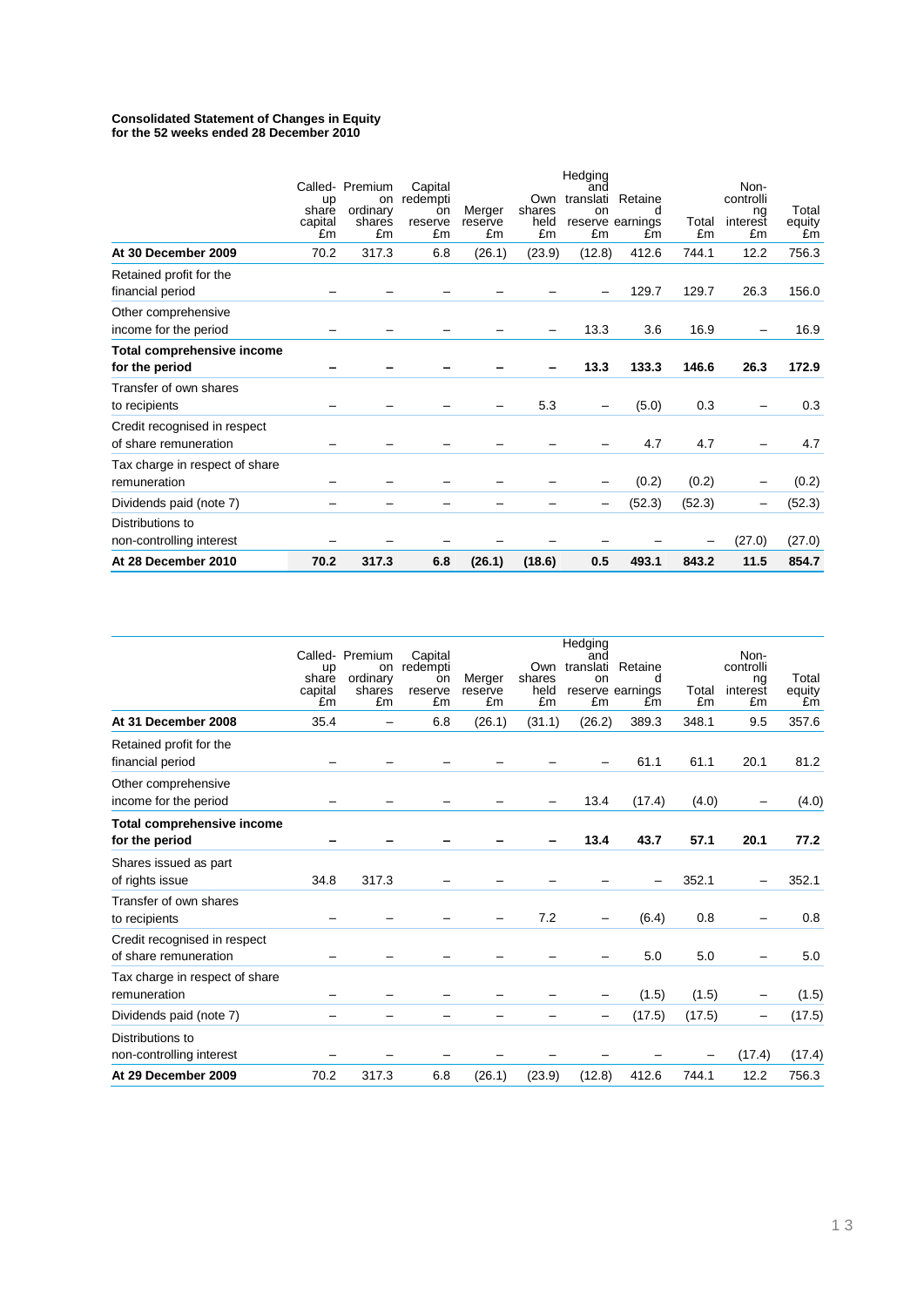#### **Consolidated Statement of Changes in Equity for the 52 weeks ended 28 December 2010**

| non-controlling interest                              |                              |                                                          |                                            |                         |                             |                            |                                                  |             | (27.0)                                    | (27.0)                |
|-------------------------------------------------------|------------------------------|----------------------------------------------------------|--------------------------------------------|-------------------------|-----------------------------|----------------------------|--------------------------------------------------|-------------|-------------------------------------------|-----------------------|
| Distributions to                                      |                              |                                                          |                                            |                         |                             |                            |                                                  |             |                                           |                       |
| Dividends paid (note 7)                               |                              |                                                          |                                            |                         |                             |                            | (52.3)                                           | (52.3)      | -                                         | (52.3)                |
| Tax charge in respect of share<br>remuneration        |                              |                                                          |                                            |                         |                             |                            | (0.2)                                            | (0.2)       |                                           | (0.2)                 |
| Credit recognised in respect<br>of share remuneration |                              |                                                          |                                            |                         |                             |                            | 4.7                                              | 4.7         |                                           | 4.7                   |
| Transfer of own shares<br>to recipients               |                              |                                                          |                                            |                         | 5.3                         |                            | (5.0)                                            | 0.3         |                                           | 0.3                   |
| Total comprehensive income<br>for the period          |                              |                                                          |                                            |                         |                             | 13.3                       | 133.3                                            | 146.6       | 26.3                                      | 172.9                 |
| Other comprehensive<br>income for the period          |                              |                                                          |                                            |                         |                             | 13.3                       | 3.6                                              | 16.9        |                                           | 16.9                  |
| Retained profit for the<br>financial period           |                              |                                                          |                                            |                         |                             |                            | 129.7                                            | 129.7       | 26.3                                      | 156.0                 |
| At 30 December 2009                                   | 70.2                         | 317.3                                                    | 6.8                                        | (26.1)                  | (23.9)                      | (12.8)                     | 412.6                                            | 744.1       | 12.2                                      | 756.3                 |
|                                                       | up<br>share<br>capital<br>£m | Called- Premium<br><b>on</b><br>ordinary<br>shares<br>£m | Capital<br>redempti<br>on<br>reserve<br>£m | Merger<br>reserve<br>£m | Own<br>shares<br>held<br>£m | Hedging<br>and<br>on<br>£m | translati Retaine<br>d<br>reserve earnings<br>£m | Total<br>£m | Non-<br>controlli<br>ng<br>interest<br>£m | Total<br>equity<br>£m |

|                                                       | up<br>share<br>capital<br>£m | Called-Premium<br>on<br>ordinary<br>shares<br>£m | Capital<br>redempti<br>on<br>reserve<br>£m | Merger<br>reserve<br>£m | Own<br>shares<br>held<br>£m | Hedging<br>and<br>on<br>£m | translati Retaine<br>d<br>reserve earnings<br>£m | Total<br>£m | Non-<br>controlli<br>ng<br>interest<br>£m | Total<br>equity<br>£m |
|-------------------------------------------------------|------------------------------|--------------------------------------------------|--------------------------------------------|-------------------------|-----------------------------|----------------------------|--------------------------------------------------|-------------|-------------------------------------------|-----------------------|
| At 31 December 2008                                   | 35.4                         |                                                  | 6.8                                        | (26.1)                  | (31.1)                      | (26.2)                     | 389.3                                            | 348.1       | 9.5                                       | 357.6                 |
| Retained profit for the<br>financial period           |                              |                                                  |                                            |                         |                             |                            | 61.1                                             | 61.1        | 20.1                                      | 81.2                  |
| Other comprehensive<br>income for the period          |                              |                                                  |                                            |                         |                             | 13.4                       | (17.4)                                           | (4.0)       |                                           | (4.0)                 |
| Total comprehensive income<br>for the period          |                              |                                                  |                                            |                         |                             | 13.4                       | 43.7                                             | 57.1        | 20.1                                      | 77.2                  |
| Shares issued as part<br>of rights issue              | 34.8                         | 317.3                                            |                                            |                         |                             |                            |                                                  | 352.1       |                                           | 352.1                 |
| Transfer of own shares<br>to recipients               |                              |                                                  |                                            |                         | 7.2                         |                            | (6.4)                                            | 0.8         |                                           | 0.8                   |
| Credit recognised in respect<br>of share remuneration |                              |                                                  |                                            |                         |                             |                            | 5.0                                              | 5.0         |                                           | 5.0                   |
| Tax charge in respect of share<br>remuneration        |                              |                                                  |                                            |                         |                             |                            | (1.5)                                            | (1.5)       |                                           | (1.5)                 |
| Dividends paid (note 7)                               |                              |                                                  |                                            |                         |                             |                            | (17.5)                                           | (17.5)      | -                                         | (17.5)                |
| Distributions to<br>non-controlling interest          |                              |                                                  |                                            |                         |                             |                            |                                                  |             | (17.4)                                    | (17.4)                |
| At 29 December 2009                                   | 70.2                         | 317.3                                            | 6.8                                        | (26.1)                  | (23.9)                      | (12.8)                     | 412.6                                            | 744.1       | 12.2                                      | 756.3                 |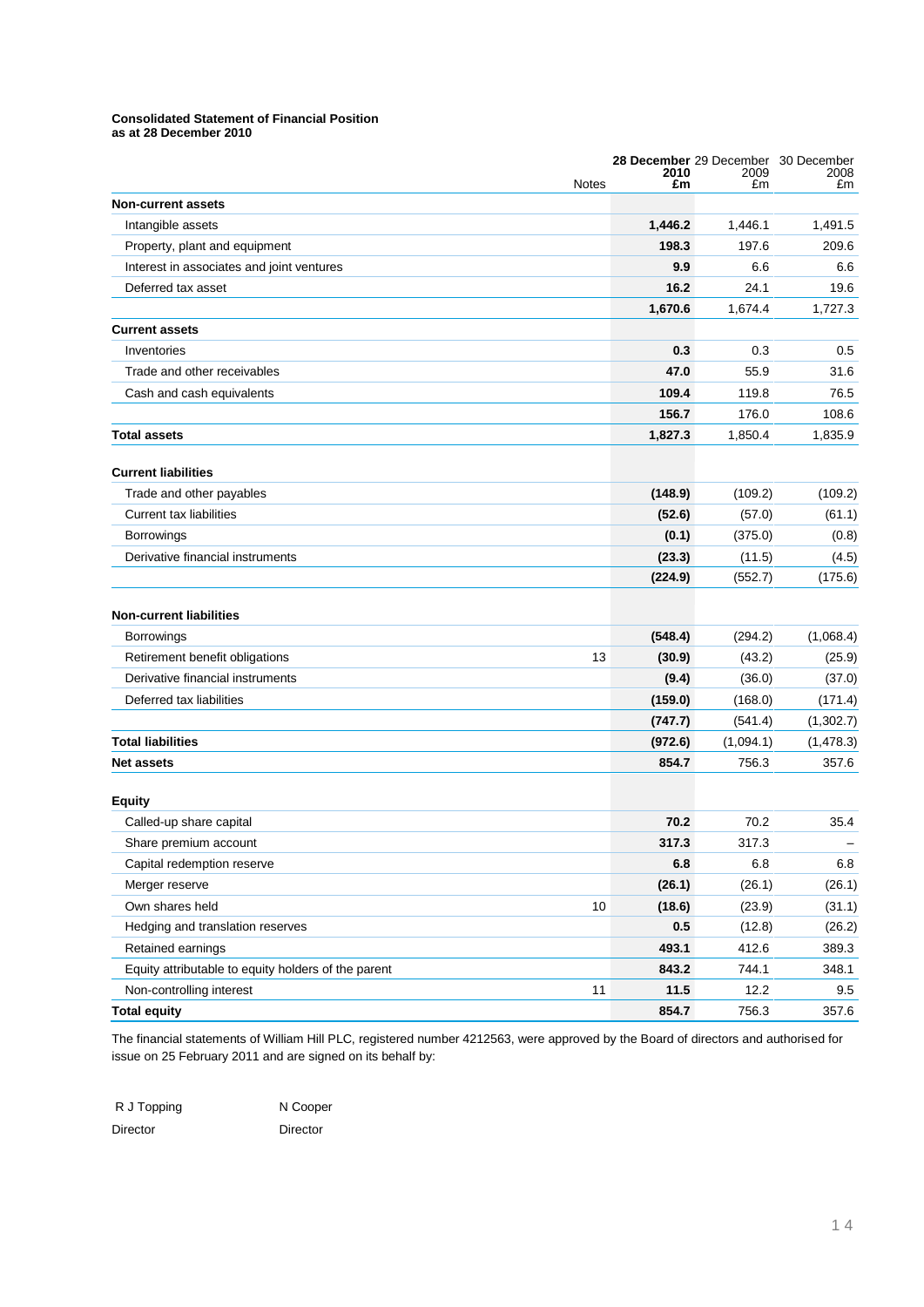### **Consolidated Statement of Financial Position**

**as at 28 December 2010**

|                                                     | 2010    | 28 December 29 December<br>2009 | 30 December<br>2008 |
|-----------------------------------------------------|---------|---------------------------------|---------------------|
| <b>Notes</b>                                        | £m      | £m                              | £m                  |
| <b>Non-current assets</b>                           |         |                                 |                     |
| Intangible assets                                   | 1,446.2 | 1,446.1                         | 1,491.5             |
| Property, plant and equipment                       | 198.3   | 197.6                           | 209.6               |
| Interest in associates and joint ventures           | 9.9     | 6.6                             | 6.6                 |
| Deferred tax asset                                  | 16.2    | 24.1                            | 19.6                |
|                                                     | 1,670.6 | 1,674.4                         | 1,727.3             |
| <b>Current assets</b>                               |         |                                 |                     |
| Inventories                                         | 0.3     | 0.3                             | 0.5                 |
| Trade and other receivables                         | 47.0    | 55.9                            | 31.6                |
| Cash and cash equivalents                           | 109.4   | 119.8                           | 76.5                |
|                                                     | 156.7   | 176.0                           | 108.6               |
| <b>Total assets</b>                                 | 1,827.3 | 1,850.4                         | 1,835.9             |
| <b>Current liabilities</b>                          |         |                                 |                     |
| Trade and other payables                            | (148.9) | (109.2)                         | (109.2)             |
| <b>Current tax liabilities</b>                      | (52.6)  | (57.0)                          | (61.1)              |
| <b>Borrowings</b>                                   | (0.1)   | (375.0)                         | (0.8)               |
| Derivative financial instruments                    | (23.3)  | (11.5)                          | (4.5)               |
|                                                     | (224.9) | (552.7)                         | (175.6)             |
| <b>Non-current liabilities</b>                      |         |                                 |                     |
| <b>Borrowings</b>                                   | (548.4) | (294.2)                         | (1,068.4)           |
| Retirement benefit obligations<br>13                | (30.9)  | (43.2)                          | (25.9)              |
| Derivative financial instruments                    | (9.4)   | (36.0)                          | (37.0)              |
| Deferred tax liabilities                            | (159.0) | (168.0)                         | (171.4)             |
|                                                     | (747.7) | (541.4)                         | (1,302.7)           |
| <b>Total liabilities</b>                            | (972.6) | (1,094.1)                       | (1,478.3)           |
| <b>Net assets</b>                                   | 854.7   | 756.3                           | 357.6               |
|                                                     |         |                                 |                     |
| <b>Equity</b>                                       |         |                                 |                     |
| Called-up share capital                             | 70.2    | 70.2                            | 35.4                |
| Share premium account                               | 317.3   | 317.3                           |                     |
| Capital redemption reserve                          | 6.8     | 6.8                             | 6.8                 |
| Merger reserve                                      | (26.1)  | (26.1)                          | (26.1)              |
| 10<br>Own shares held                               | (18.6)  | (23.9)                          | (31.1)              |
| Hedging and translation reserves                    | 0.5     | (12.8)                          | (26.2)              |
| Retained earnings                                   | 493.1   | 412.6                           | 389.3               |
| Equity attributable to equity holders of the parent | 843.2   | 744.1                           | 348.1               |
| 11<br>Non-controlling interest                      | 11.5    | 12.2                            | 9.5                 |
| <b>Total equity</b>                                 | 854.7   | 756.3                           | 357.6               |

The financial statements of William Hill PLC, registered number 4212563, were approved by the Board of directors and authorised for issue on 25 February 2011 and are signed on its behalf by:

| R J Topping | N Coope  |
|-------------|----------|
| Director    | Director |

ooper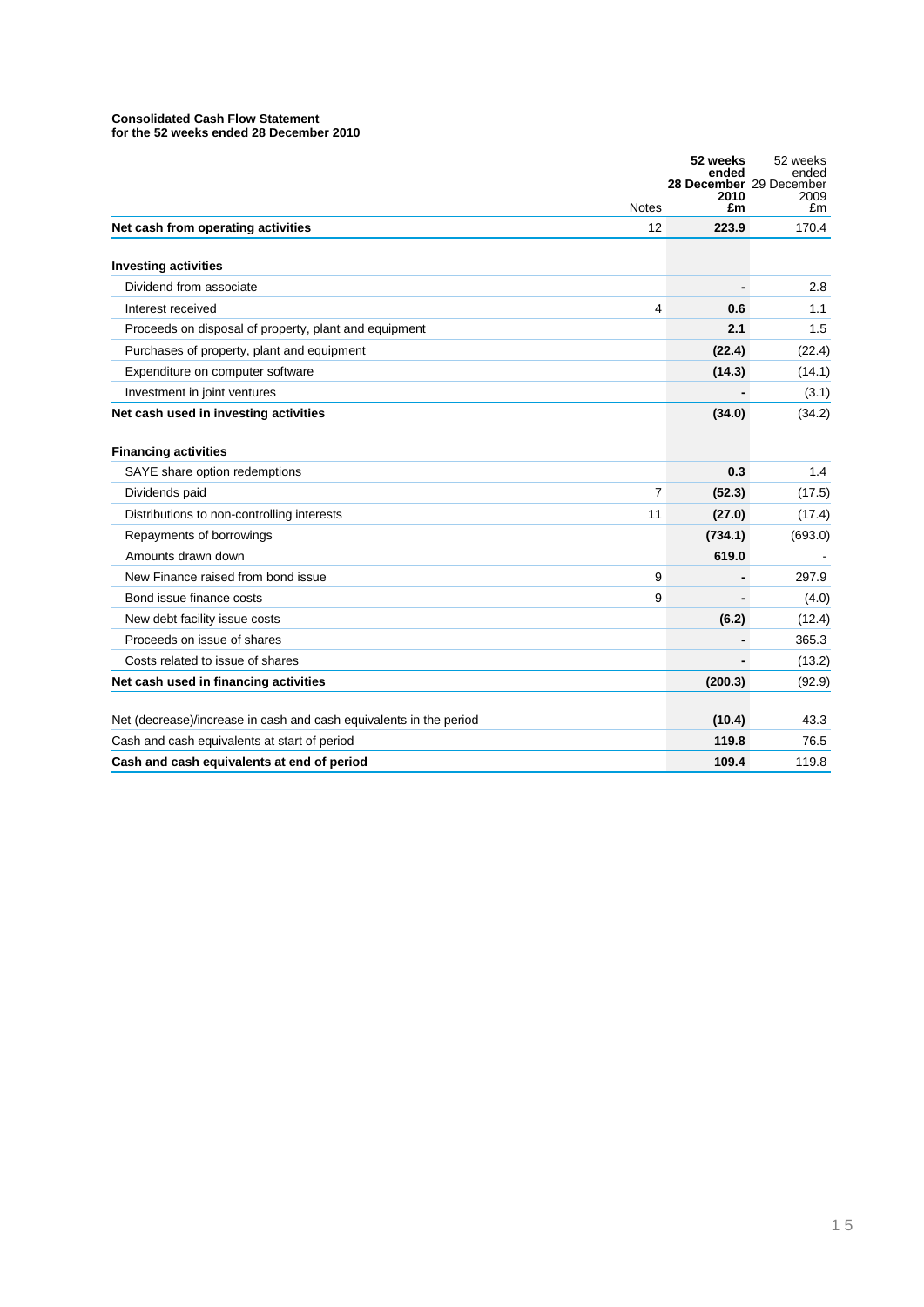# **Consolidated Cash Flow Statement**

|                                                                    |                | 52 weeks<br>ended<br>28 December 29 December | 52 weeks<br>ended |
|--------------------------------------------------------------------|----------------|----------------------------------------------|-------------------|
|                                                                    | <b>Notes</b>   | 2010<br>£m                                   | 2009<br>£m        |
| Net cash from operating activities                                 | 12             | 223.9                                        | 170.4             |
|                                                                    |                |                                              |                   |
| <b>Investing activities</b><br>Dividend from associate             |                |                                              | 2.8               |
| Interest received                                                  | 4              | 0.6                                          | 1.1               |
| Proceeds on disposal of property, plant and equipment              |                | 2.1                                          | 1.5               |
| Purchases of property, plant and equipment                         |                | (22.4)                                       | (22.4)            |
| Expenditure on computer software                                   |                | (14.3)                                       | (14.1)            |
| Investment in joint ventures                                       |                |                                              | (3.1)             |
| Net cash used in investing activities                              |                | (34.0)                                       | (34.2)            |
|                                                                    |                |                                              |                   |
| <b>Financing activities</b>                                        |                |                                              |                   |
| SAYE share option redemptions                                      |                | 0.3                                          | 1.4               |
| Dividends paid                                                     | $\overline{7}$ | (52.3)                                       | (17.5)            |
| Distributions to non-controlling interests                         | 11             | (27.0)                                       | (17.4)            |
| Repayments of borrowings                                           |                | (734.1)                                      | (693.0)           |
| Amounts drawn down                                                 |                | 619.0                                        |                   |
| New Finance raised from bond issue                                 | 9              |                                              | 297.9             |
| Bond issue finance costs                                           | 9              |                                              | (4.0)             |
| New debt facility issue costs                                      |                | (6.2)                                        | (12.4)            |
| Proceeds on issue of shares                                        |                |                                              | 365.3             |
| Costs related to issue of shares                                   |                |                                              | (13.2)            |
| Net cash used in financing activities                              |                | (200.3)                                      | (92.9)            |
|                                                                    |                |                                              |                   |
| Net (decrease)/increase in cash and cash equivalents in the period |                | (10.4)                                       | 43.3              |
| Cash and cash equivalents at start of period                       |                | 119.8                                        | 76.5              |
| Cash and cash equivalents at end of period                         |                | 109.4                                        | 119.8             |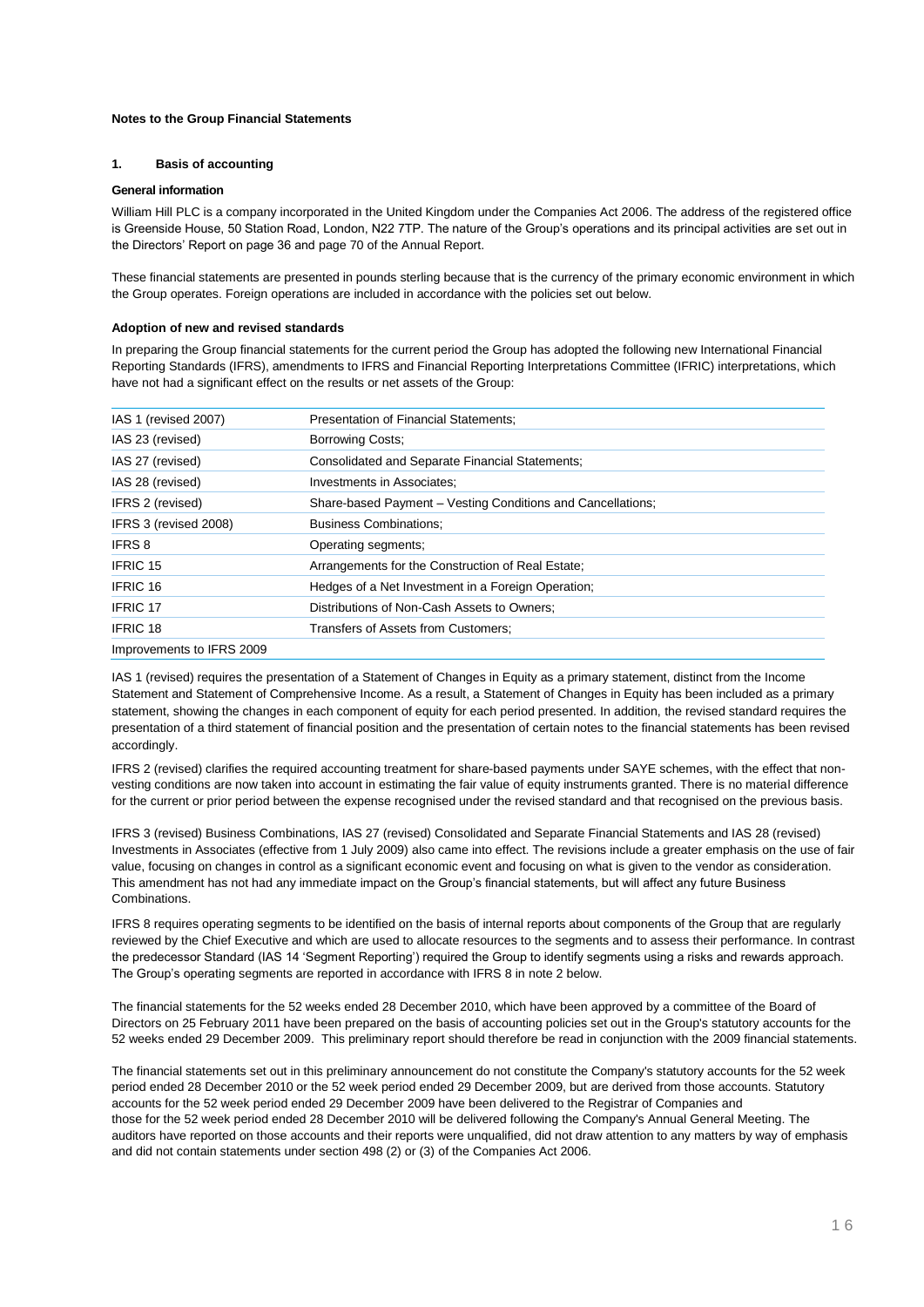### **Notes to the Group Financial Statements**

### **1. Basis of accounting**

### **General information**

William Hill PLC is a company incorporated in the United Kingdom under the Companies Act 2006. The address of the registered office is Greenside House, 50 Station Road, London, N22 7TP. The nature of the Group"s operations and its principal activities are set out in the Directors" Report on page 36 and page 70 of the Annual Report.

These financial statements are presented in pounds sterling because that is the currency of the primary economic environment in which the Group operates. Foreign operations are included in accordance with the policies set out below.

### **Adoption of new and revised standards**

In preparing the Group financial statements for the current period the Group has adopted the following new International Financial Reporting Standards (IFRS), amendments to IFRS and Financial Reporting Interpretations Committee (IFRIC) interpretations, which have not had a significant effect on the results or net assets of the Group:

| IAS 1 (revised 2007)      | Presentation of Financial Statements;                       |
|---------------------------|-------------------------------------------------------------|
| IAS 23 (revised)          | <b>Borrowing Costs:</b>                                     |
| IAS 27 (revised)          | <b>Consolidated and Separate Financial Statements:</b>      |
| IAS 28 (revised)          | Investments in Associates;                                  |
| IFRS 2 (revised)          | Share-based Payment – Vesting Conditions and Cancellations; |
| IFRS 3 (revised 2008)     | <b>Business Combinations:</b>                               |
| <b>IFRS 8</b>             | Operating segments:                                         |
| <b>IFRIC 15</b>           | Arrangements for the Construction of Real Estate;           |
| IFRIC 16                  | Hedges of a Net Investment in a Foreign Operation;          |
| <b>IFRIC 17</b>           | Distributions of Non-Cash Assets to Owners;                 |
| IFRIC <sub>18</sub>       | Transfers of Assets from Customers;                         |
| Improvements to IFRS 2009 |                                                             |

IAS 1 (revised) requires the presentation of a Statement of Changes in Equity as a primary statement, distinct from the Income Statement and Statement of Comprehensive Income. As a result, a Statement of Changes in Equity has been included as a primary statement, showing the changes in each component of equity for each period presented. In addition, the revised standard requires the presentation of a third statement of financial position and the presentation of certain notes to the financial statements has been revised accordingly.

IFRS 2 (revised) clarifies the required accounting treatment for share-based payments under SAYE schemes, with the effect that nonvesting conditions are now taken into account in estimating the fair value of equity instruments granted. There is no material difference for the current or prior period between the expense recognised under the revised standard and that recognised on the previous basis.

IFRS 3 (revised) Business Combinations, IAS 27 (revised) Consolidated and Separate Financial Statements and IAS 28 (revised) Investments in Associates (effective from 1 July 2009) also came into effect. The revisions include a greater emphasis on the use of fair value, focusing on changes in control as a significant economic event and focusing on what is given to the vendor as consideration. This amendment has not had any immediate impact on the Group's financial statements, but will affect any future Business Combinations.

IFRS 8 requires operating segments to be identified on the basis of internal reports about components of the Group that are regularly reviewed by the Chief Executive and which are used to allocate resources to the segments and to assess their performance. In contrast the predecessor Standard (IAS 14 "Segment Reporting") required the Group to identify segments using a risks and rewards approach. The Group"s operating segments are reported in accordance with IFRS 8 in note 2 below.

The financial statements for the 52 weeks ended 28 December 2010, which have been approved by a committee of the Board of Directors on 25 February 2011 have been prepared on the basis of accounting policies set out in the Group's statutory accounts for the 52 weeks ended 29 December 2009. This preliminary report should therefore be read in conjunction with the 2009 financial statements.

The financial statements set out in this preliminary announcement do not constitute the Company's statutory accounts for the 52 week period ended 28 December 2010 or the 52 week period ended 29 December 2009, but are derived from those accounts. Statutory accounts for the 52 week period ended 29 December 2009 have been delivered to the Registrar of Companies and those for the 52 week period ended 28 December 2010 will be delivered following the Company's Annual General Meeting. The auditors have reported on those accounts and their reports were unqualified, did not draw attention to any matters by way of emphasis and did not contain statements under section 498 (2) or (3) of the Companies Act 2006.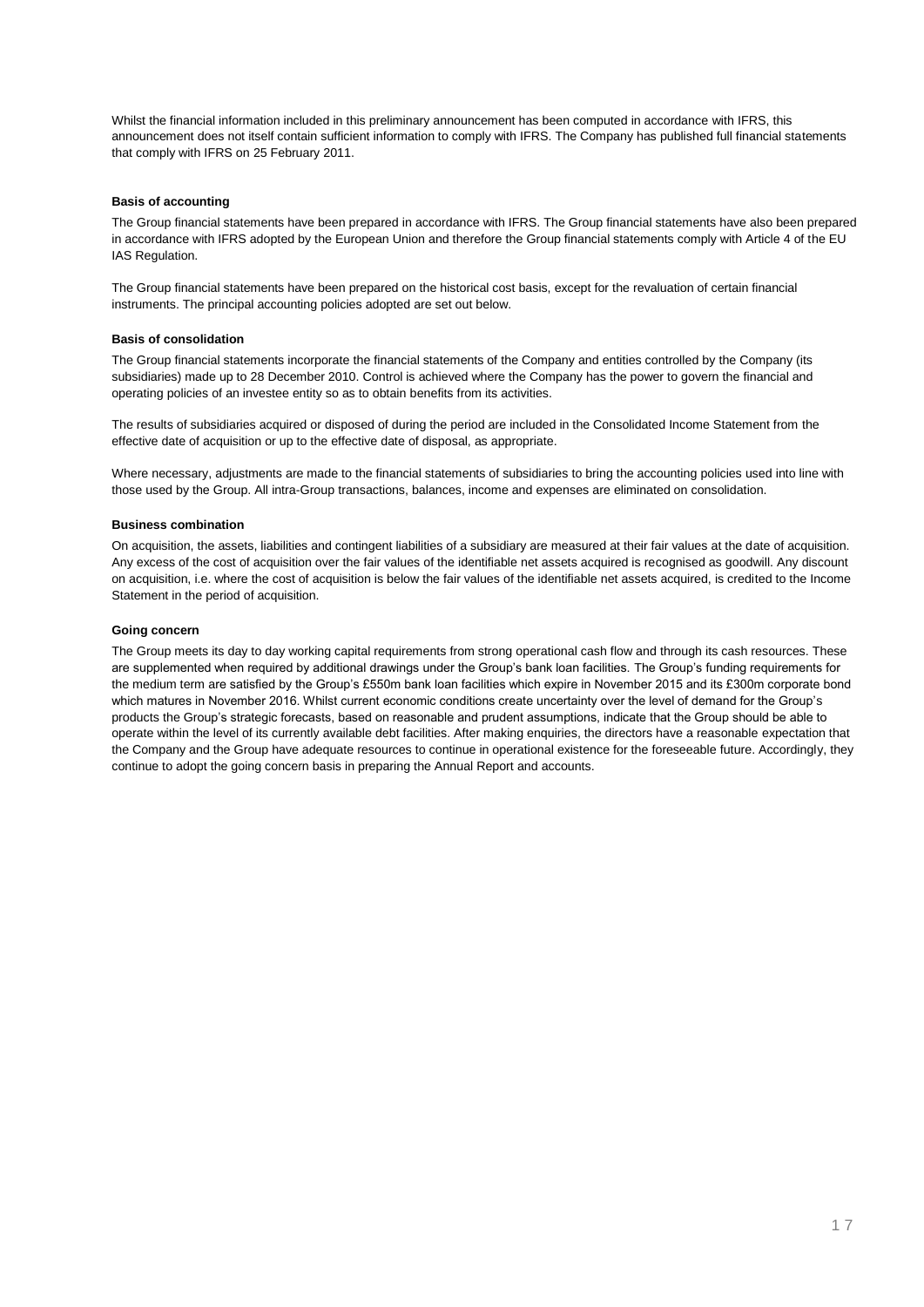Whilst the financial information included in this preliminary announcement has been computed in accordance with IFRS, this announcement does not itself contain sufficient information to comply with IFRS. The Company has published full financial statements that comply with IFRS on 25 February 2011.

### **Basis of accounting**

The Group financial statements have been prepared in accordance with IFRS. The Group financial statements have also been prepared in accordance with IFRS adopted by the European Union and therefore the Group financial statements comply with Article 4 of the EU IAS Regulation.

The Group financial statements have been prepared on the historical cost basis, except for the revaluation of certain financial instruments. The principal accounting policies adopted are set out below.

### **Basis of consolidation**

The Group financial statements incorporate the financial statements of the Company and entities controlled by the Company (its subsidiaries) made up to 28 December 2010. Control is achieved where the Company has the power to govern the financial and operating policies of an investee entity so as to obtain benefits from its activities.

The results of subsidiaries acquired or disposed of during the period are included in the Consolidated Income Statement from the effective date of acquisition or up to the effective date of disposal, as appropriate.

Where necessary, adjustments are made to the financial statements of subsidiaries to bring the accounting policies used into line with those used by the Group. All intra-Group transactions, balances, income and expenses are eliminated on consolidation.

### **Business combination**

On acquisition, the assets, liabilities and contingent liabilities of a subsidiary are measured at their fair values at the date of acquisition. Any excess of the cost of acquisition over the fair values of the identifiable net assets acquired is recognised as goodwill. Any discount on acquisition, i.e. where the cost of acquisition is below the fair values of the identifiable net assets acquired, is credited to the Income Statement in the period of acquisition.

### **Going concern**

The Group meets its day to day working capital requirements from strong operational cash flow and through its cash resources. These are supplemented when required by additional drawings under the Group"s bank loan facilities. The Group"s funding requirements for the medium term are satisfied by the Group's £550m bank loan facilities which expire in November 2015 and its £300m corporate bond which matures in November 2016. Whilst current economic conditions create uncertainty over the level of demand for the Group"s products the Group"s strategic forecasts, based on reasonable and prudent assumptions, indicate that the Group should be able to operate within the level of its currently available debt facilities. After making enquiries, the directors have a reasonable expectation that the Company and the Group have adequate resources to continue in operational existence for the foreseeable future. Accordingly, they continue to adopt the going concern basis in preparing the Annual Report and accounts.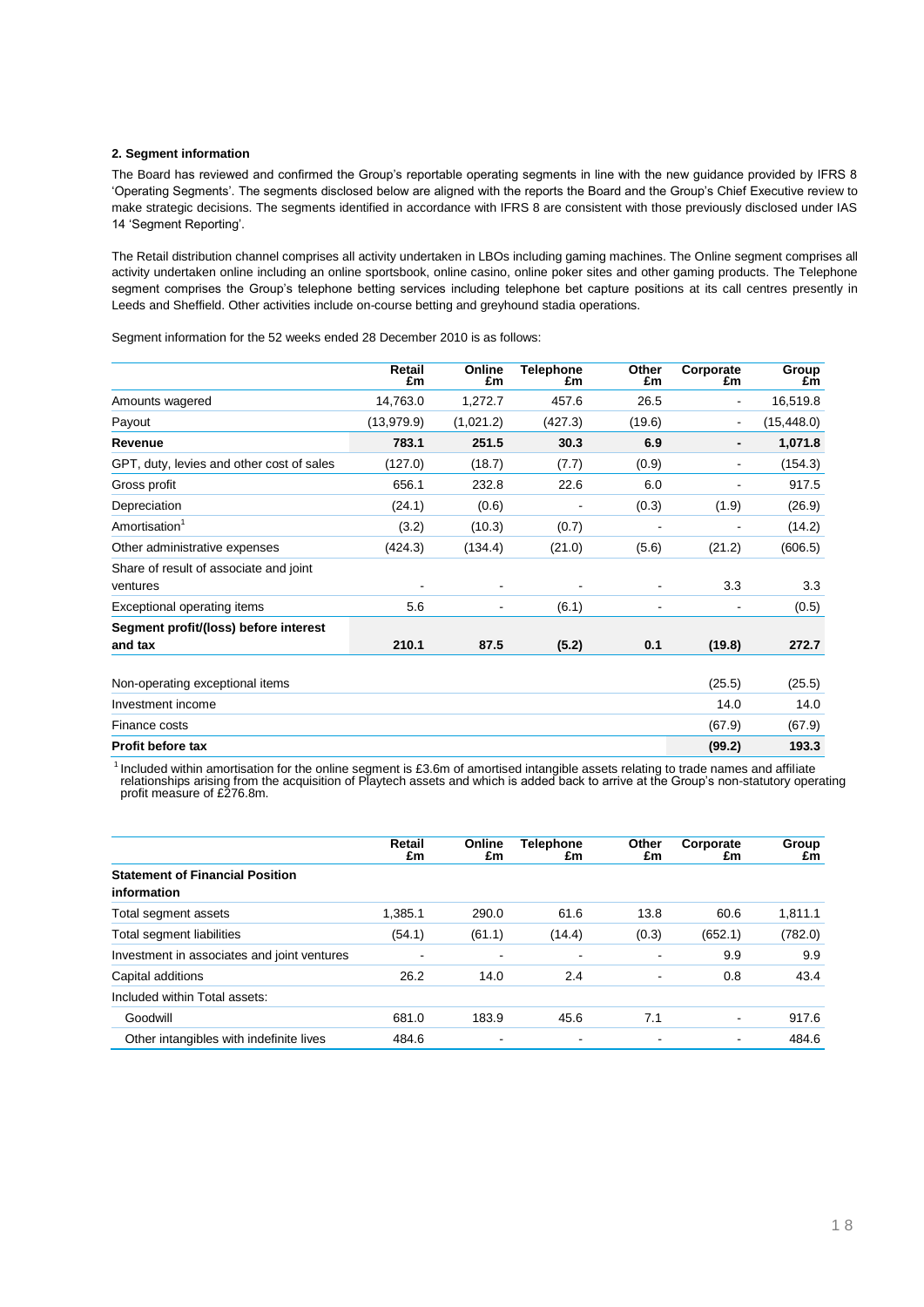### **2. Segment information**

The Board has reviewed and confirmed the Group"s reportable operating segments in line with the new guidance provided by IFRS 8 "Operating Segments". The segments disclosed below are aligned with the reports the Board and the Group"s Chief Executive review to make strategic decisions. The segments identified in accordance with IFRS 8 are consistent with those previously disclosed under IAS 14 "Segment Reporting".

The Retail distribution channel comprises all activity undertaken in LBOs including gaming machines. The Online segment comprises all activity undertaken online including an online sportsbook, online casino, online poker sites and other gaming products. The Telephone segment comprises the Group's telephone betting services including telephone bet capture positions at its call centres presently in Leeds and Sheffield. Other activities include on-course betting and greyhound stadia operations.

|                                                    | Retail<br>£m                 | Online<br>£m | <b>Telephone</b><br>£m | Other<br>£m | Corporate<br>£m | Group<br>£m |
|----------------------------------------------------|------------------------------|--------------|------------------------|-------------|-----------------|-------------|
| Amounts wagered                                    | 14,763.0                     | 1,272.7      | 457.6                  | 26.5        | $\blacksquare$  | 16,519.8    |
| Payout                                             | (13,979.9)                   | (1,021.2)    | (427.3)                | (19.6)      | $\blacksquare$  | (15, 448.0) |
| Revenue                                            | 783.1                        | 251.5        | 30.3                   | 6.9         |                 | 1,071.8     |
| GPT, duty, levies and other cost of sales          | (127.0)                      | (18.7)       | (7.7)                  | (0.9)       | $\blacksquare$  | (154.3)     |
| Gross profit                                       | 656.1                        | 232.8        | 22.6                   | 6.0         | -               | 917.5       |
| Depreciation                                       | (24.1)                       | (0.6)        | ۰                      | (0.3)       | (1.9)           | (26.9)      |
| Amortisation <sup>1</sup>                          | (3.2)                        | (10.3)       | (0.7)                  |             |                 | (14.2)      |
| Other administrative expenses                      | (424.3)                      | (134.4)      | (21.0)                 | (5.6)       | (21.2)          | (606.5)     |
| Share of result of associate and joint<br>ventures | $\qquad \qquad \blacksquare$ |              |                        |             | 3.3             | 3.3         |
| Exceptional operating items                        | 5.6                          | -            | (6.1)                  | ٠           |                 | (0.5)       |
| Segment profit/(loss) before interest              |                              |              |                        |             |                 |             |
| and tax                                            | 210.1                        | 87.5         | (5.2)                  | 0.1         | (19.8)          | 272.7       |
| Non-operating exceptional items                    |                              |              |                        |             | (25.5)          | (25.5)      |
| Investment income                                  |                              |              |                        |             | 14.0            | 14.0        |
| Finance costs                                      |                              |              |                        |             | (67.9)          | (67.9)      |
| <b>Profit before tax</b>                           |                              |              |                        |             | (99.2)          | 193.3       |

Segment information for the 52 weeks ended 28 December 2010 is as follows:

<sup>1</sup> Included within amortisation for the online segment is £3.6m of amortised intangible assets relating to trade names and affiliate relationships arising from the acquisition of PĪaytech assets and which is added back to arrive at the Group's non-statutory operating<br>profit measure of £276.8m.

|                                                       | Retail<br>£m             | Online<br>£m | Telephone<br>£m | Other<br>£m    | Corporate<br>£m          | Group<br>£m |
|-------------------------------------------------------|--------------------------|--------------|-----------------|----------------|--------------------------|-------------|
| <b>Statement of Financial Position</b><br>information |                          |              |                 |                |                          |             |
| Total segment assets                                  | 1.385.1                  | 290.0        | 61.6            | 13.8           | 60.6                     | 1.811.1     |
| Total segment liabilities                             | (54.1)                   | (61.1)       | (14.4)          | (0.3)          | (652.1)                  | (782.0)     |
| Investment in associates and joint ventures           | $\overline{\phantom{a}}$ |              |                 |                | 9.9                      | 9.9         |
| Capital additions                                     | 26.2                     | 14.0         | 2.4             | ٠              | 0.8                      | 43.4        |
| Included within Total assets:                         |                          |              |                 |                |                          |             |
| Goodwill                                              | 681.0                    | 183.9        | 45.6            | 7.1            | $\blacksquare$           | 917.6       |
| Other intangibles with indefinite lives               | 484.6                    |              |                 | $\blacksquare$ | $\overline{\phantom{a}}$ | 484.6       |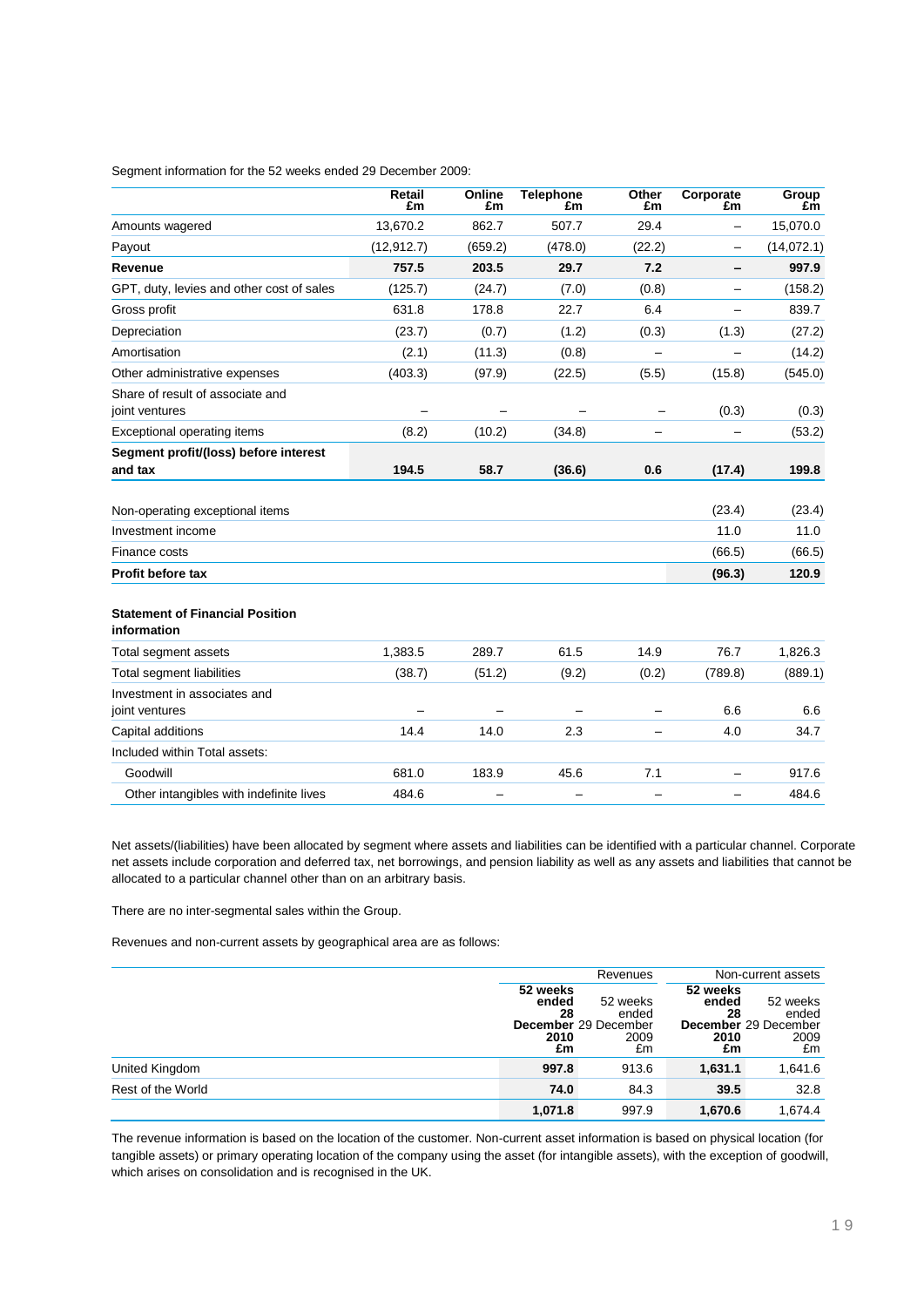Segment information for the 52 weeks ended 29 December 2009:

|                                                       | Retail<br>£m | <b>Online</b><br>£m | <b>Telephone</b><br>£m | Other<br>£m | Corporate<br>£m   | Group<br>£m |
|-------------------------------------------------------|--------------|---------------------|------------------------|-------------|-------------------|-------------|
| Amounts wagered                                       | 13,670.2     | 862.7               | 507.7                  | 29.4        | —                 | 15,070.0    |
| Payout                                                | (12, 912.7)  | (659.2)             | (478.0)                | (22.2)      | -                 | (14,072.1)  |
| Revenue                                               | 757.5        | 203.5               | 29.7                   | 7.2         |                   | 997.9       |
| GPT, duty, levies and other cost of sales             | (125.7)      | (24.7)              | (7.0)                  | (0.8)       | $\qquad \qquad -$ | (158.2)     |
| Gross profit                                          | 631.8        | 178.8               | 22.7                   | 6.4         |                   | 839.7       |
| Depreciation                                          | (23.7)       | (0.7)               | (1.2)                  | (0.3)       | (1.3)             | (27.2)      |
| Amortisation                                          | (2.1)        | (11.3)              | (0.8)                  |             |                   | (14.2)      |
| Other administrative expenses                         | (403.3)      | (97.9)              | (22.5)                 | (5.5)       | (15.8)            | (545.0)     |
| Share of result of associate and<br>joint ventures    |              |                     |                        |             | (0.3)             | (0.3)       |
| Exceptional operating items                           | (8.2)        | (10.2)              | (34.8)                 |             |                   | (53.2)      |
| Segment profit/(loss) before interest<br>and tax      | 194.5        | 58.7                | (36.6)                 | 0.6         | (17.4)            | 199.8       |
| Non-operating exceptional items                       |              |                     |                        |             | (23.4)            | (23.4)      |
| Investment income                                     |              |                     |                        |             | 11.0              | 11.0        |
| Finance costs                                         |              |                     |                        |             | (66.5)            | (66.5)      |
| <b>Profit before tax</b>                              |              |                     |                        |             | (96.3)            | 120.9       |
| <b>Statement of Financial Position</b><br>information |              |                     |                        |             |                   |             |
| Total segment assets                                  | 1,383.5      | 289.7               | 61.5                   | 14.9        | 76.7              | 1,826.3     |
| <b>Total segment liabilities</b>                      | (38.7)       | (51.2)              | (9.2)                  | (0.2)       | (789.8)           | (889.1)     |
| Investment in associates and<br>joint ventures        |              |                     |                        |             | 6.6               | 6.6         |
| Capital additions                                     | 14.4         | 14.0                | 2.3                    |             | 4.0               | 34.7        |
| Included within Total assets:                         |              |                     |                        |             |                   |             |
| Goodwill                                              | 681.0        | 183.9               | 45.6                   | 7.1         | -                 | 917.6       |
| Other intangibles with indefinite lives               | 484.6        |                     |                        |             |                   | 484.6       |

Net assets/(liabilities) have been allocated by segment where assets and liabilities can be identified with a particular channel. Corporate net assets include corporation and deferred tax, net borrowings, and pension liability as well as any assets and liabilities that cannot be allocated to a particular channel other than on an arbitrary basis.

There are no inter-segmental sales within the Group.

Revenues and non-current assets by geographical area are as follows:

|                   |                                       | Revenues                                                       |                                       | Non-current assets                                      |
|-------------------|---------------------------------------|----------------------------------------------------------------|---------------------------------------|---------------------------------------------------------|
|                   | 52 weeks<br>ended<br>28<br>2010<br>£m | 52 weeks<br>ended<br><b>December</b> 29 December<br>2009<br>£m | 52 weeks<br>ended<br>28<br>2010<br>£m | 52 weeks<br>ended<br>December 29 December<br>2009<br>£m |
| United Kingdom    | 997.8                                 | 913.6                                                          | 1,631.1                               | 1,641.6                                                 |
| Rest of the World | 74.0                                  | 84.3                                                           | 39.5                                  | 32.8                                                    |
|                   | 1.071.8                               | 997.9                                                          | 1,670.6                               | 1.674.4                                                 |

The revenue information is based on the location of the customer. Non-current asset information is based on physical location (for tangible assets) or primary operating location of the company using the asset (for intangible assets), with the exception of goodwill, which arises on consolidation and is recognised in the UK.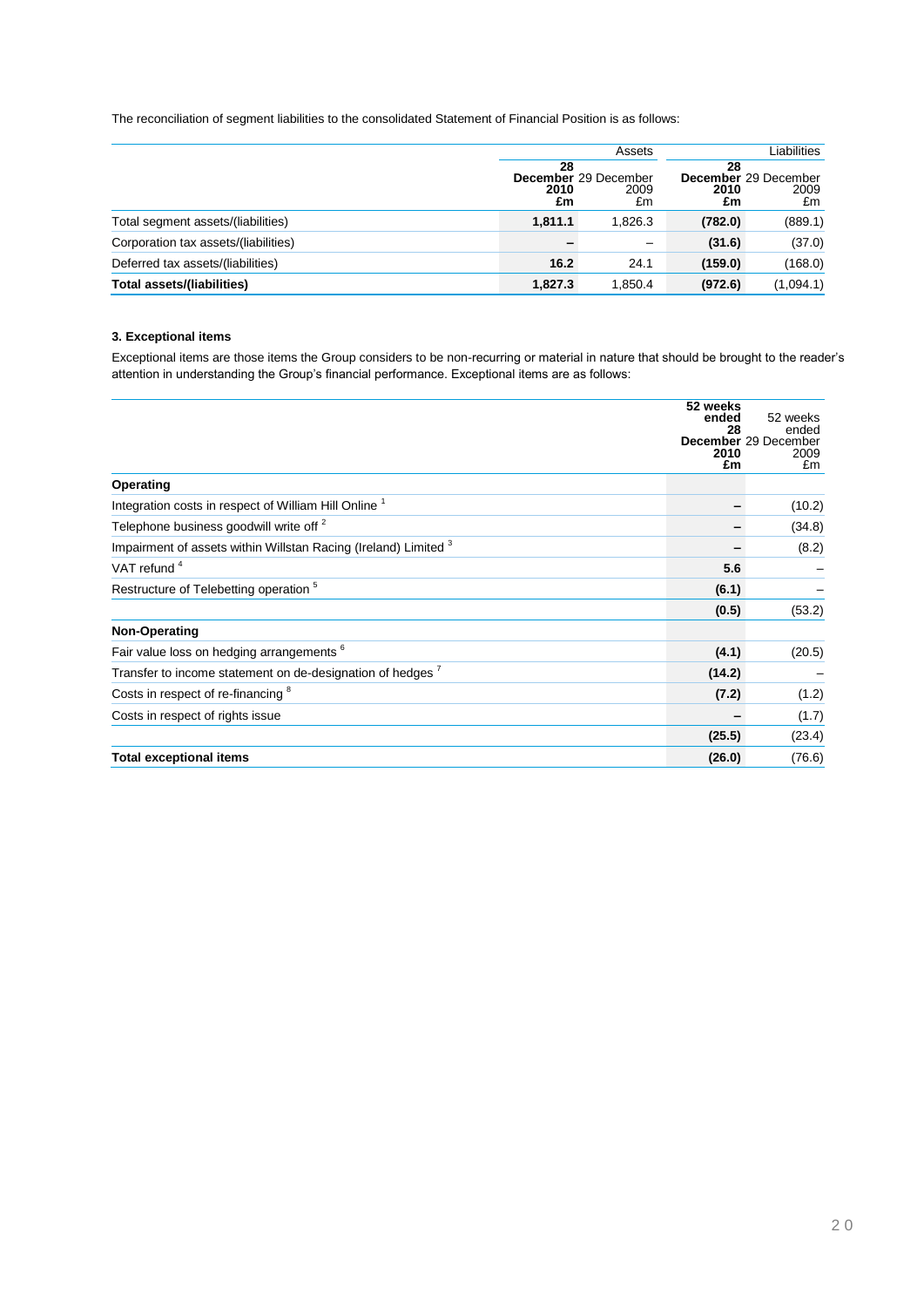The reconciliation of segment liabilities to the consolidated Statement of Financial Position is as follows:

|                                      | Assets           |                                    | Liabilities      |                                    |
|--------------------------------------|------------------|------------------------------------|------------------|------------------------------------|
|                                      | 28<br>2010<br>£m | December 29 December<br>2009<br>£m | 28<br>2010<br>£m | December 29 December<br>2009<br>£m |
| Total segment assets/(liabilities)   | 1.811.1          | 1.826.3                            | (782.0)          | (889.1)                            |
| Corporation tax assets/(liabilities) |                  |                                    | (31.6)           | (37.0)                             |
| Deferred tax assets/(liabilities)    | 16.2             | 24.1                               | (159.0)          | (168.0)                            |
| Total assets/(liabilities)           | 1,827.3          | 1,850.4                            | (972.6)          | (1,094.1)                          |

### **3. Exceptional items**

Exceptional items are those items the Group considers to be non-recurring or material in nature that should be brought to the reader"s attention in understanding the Group's financial performance. Exceptional items are as follows:

|                                                                            | 52 weeks<br>ended | 52 weeks                                    |
|----------------------------------------------------------------------------|-------------------|---------------------------------------------|
|                                                                            | 28<br>2010<br>£m  | ended<br>December 29 December<br>2009<br>£m |
| Operating                                                                  |                   |                                             |
| Integration costs in respect of William Hill Online <sup>1</sup>           |                   | (10.2)                                      |
| Telephone business goodwill write off <sup>2</sup>                         |                   | (34.8)                                      |
| Impairment of assets within Willstan Racing (Ireland) Limited <sup>3</sup> |                   | (8.2)                                       |
| VAT refund <sup>4</sup>                                                    | 5.6               |                                             |
| Restructure of Telebetting operation <sup>5</sup>                          | (6.1)             |                                             |
|                                                                            | (0.5)             | (53.2)                                      |
| Non-Operating                                                              |                   |                                             |
| Fair value loss on hedging arrangements <sup>6</sup>                       | (4.1)             | (20.5)                                      |
| Transfer to income statement on de-designation of hedges $'$               | (14.2)            |                                             |
| Costs in respect of re-financing <sup>8</sup>                              | (7.2)             | (1.2)                                       |
| Costs in respect of rights issue                                           |                   | (1.7)                                       |
|                                                                            | (25.5)            | (23.4)                                      |
| <b>Total exceptional items</b>                                             | (26.0)            | (76.6)                                      |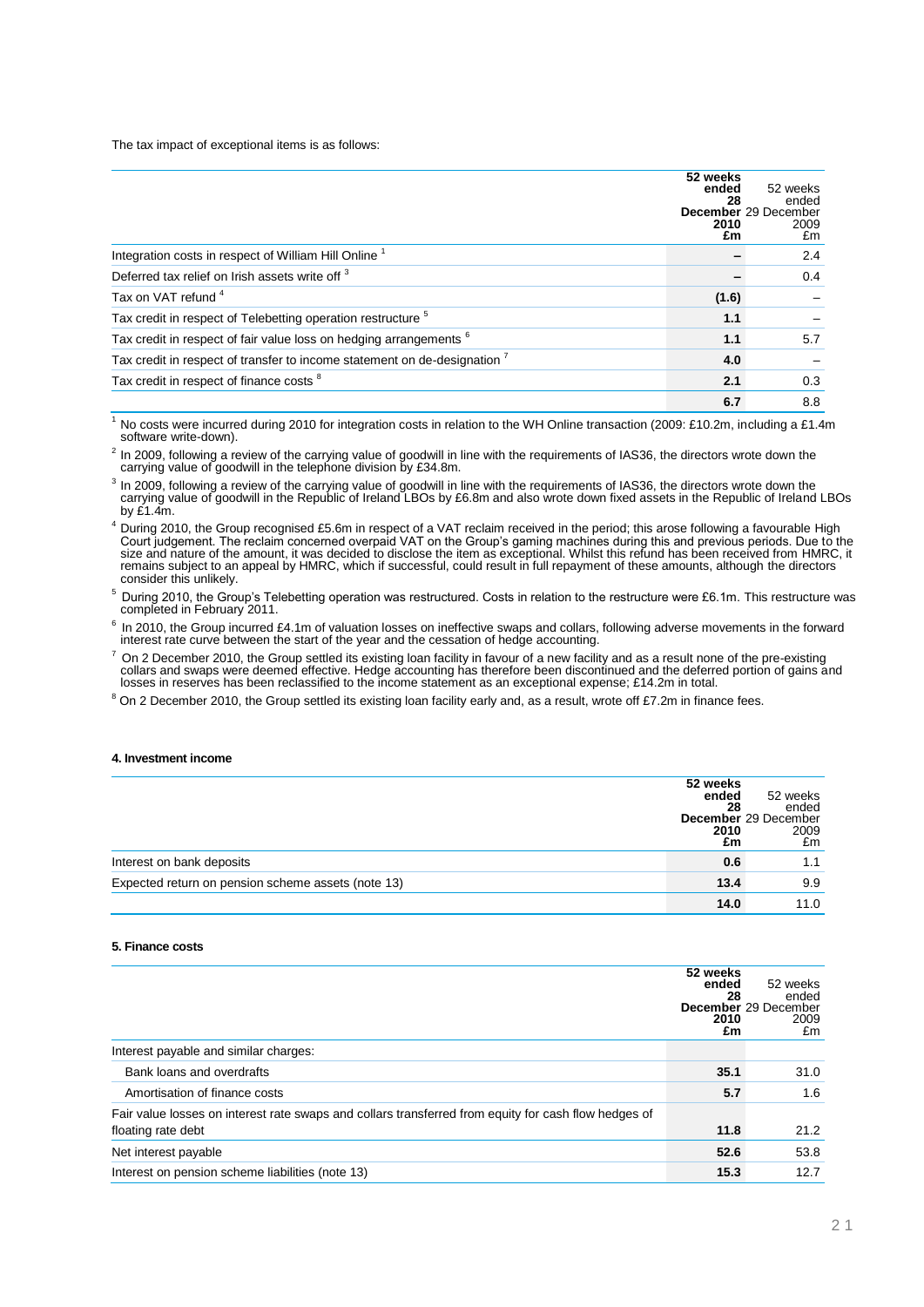The tax impact of exceptional items is as follows:

|                                                                                      | 52 weeks<br>ended<br>28<br>2010<br>£m | 52 weeks<br>ended<br>December 29 December<br>2009<br>£m |
|--------------------------------------------------------------------------------------|---------------------------------------|---------------------------------------------------------|
| Integration costs in respect of William Hill Online <sup>1</sup>                     |                                       | 2.4                                                     |
| Deferred tax relief on Irish assets write off <sup>3</sup>                           |                                       | 0.4                                                     |
| Tax on VAT refund <sup>4</sup>                                                       | (1.6)                                 |                                                         |
| Tax credit in respect of Telebetting operation restructure <sup>5</sup>              | 1.1                                   |                                                         |
| Tax credit in respect of fair value loss on hedging arrangements <sup>6</sup>        | 1.1                                   | 5.7                                                     |
| Tax credit in respect of transfer to income statement on de-designation <sup>7</sup> | 4.0                                   |                                                         |
| Tax credit in respect of finance costs <sup>8</sup>                                  | 2.1                                   | 0.3                                                     |
|                                                                                      | 6.7                                   | 8.8                                                     |

 $1$  No costs were incurred during 2010 for integration costs in relation to the WH Online transaction (2009: £10.2m, including a £1.4m) software write-down).

 $^2$  In 2009, following a review of the carrying value of goodwill in line with the requirements of IAS36, the directors wrote down the carrying value of goodwill in the telephone division by £34.8m.

<sup>3</sup> In 2009, following a review of the carrying value of goodwill in line with the requirements of IAS36, the directors wrote down the carrying value of goodwill in the Republic of Ireland LBOs by £6.8m and also wrote dow by £1.4m.

<sup>4</sup> During 2010, the Group recognised £5.6m in respect of a VAT reclaim received in the period; this arose following a favourable High Court judgement. The reclaim concerned overpaid VAT on the Group's gaming machines during this and previous periods. Due to the<br>size and nature of the amount, it was decided to disclose the item as exceptional. Whilst this remains subject to an appeal by HMRC, which if successful, could result in full repayment of these amounts, although the directors consider this unlikely.

 $^5$  During 2010, the Group's Telebetting operation was restructured. Costs in relation to the restructure were £6.1m. This restructure was<br>completed in February 2011.

 $6$  In 2010, the Group incurred £4.1m of valuation losses on ineffective swaps and collars, following adverse movements in the forward interest rate curve between the start of the year and the cessation of hedge accounting.

 $^7$  On 2 December 2010, the Group settled its existing loan facility in favour of a new facility and as a result none of the pre-existing collars and swaps were deemed effective. Hedge accounting has therefore been discontinued and the deferred portion of gains and losses in reserves has been reclassified to the income statement as an exceptional expense; £14.2m in total.

<sup>8</sup> On 2 December 2010, the Group settled its existing loan facility early and, as a result, wrote off £7.2m in finance fees.

### **4. Investment income**

|                                                    | 52 weeks<br>ended<br>28<br>2010<br>£m | 52 weeks<br>ended<br>December 29 December<br>2009<br>£m |
|----------------------------------------------------|---------------------------------------|---------------------------------------------------------|
| Interest on bank deposits                          | 0.6                                   | 1.1                                                     |
| Expected return on pension scheme assets (note 13) | 13.4                                  | 9.9                                                     |
|                                                    | 14.0                                  | 11.0                                                    |

### **5. Finance costs**

|                                                                                                      | 52 weeks<br>ended<br>28<br>2010<br>£m | 52 weeks<br>ended<br>December 29 December<br>2009<br>£m |
|------------------------------------------------------------------------------------------------------|---------------------------------------|---------------------------------------------------------|
| Interest payable and similar charges:                                                                |                                       |                                                         |
| Bank loans and overdrafts                                                                            | 35.1                                  | 31.0                                                    |
| Amortisation of finance costs                                                                        | 5.7                                   | 1.6                                                     |
| Fair value losses on interest rate swaps and collars transferred from equity for cash flow hedges of |                                       |                                                         |
| floating rate debt                                                                                   | 11.8                                  | 21.2                                                    |
| Net interest payable                                                                                 | 52.6                                  | 53.8                                                    |
| Interest on pension scheme liabilities (note 13)                                                     | 15.3                                  | 12.7                                                    |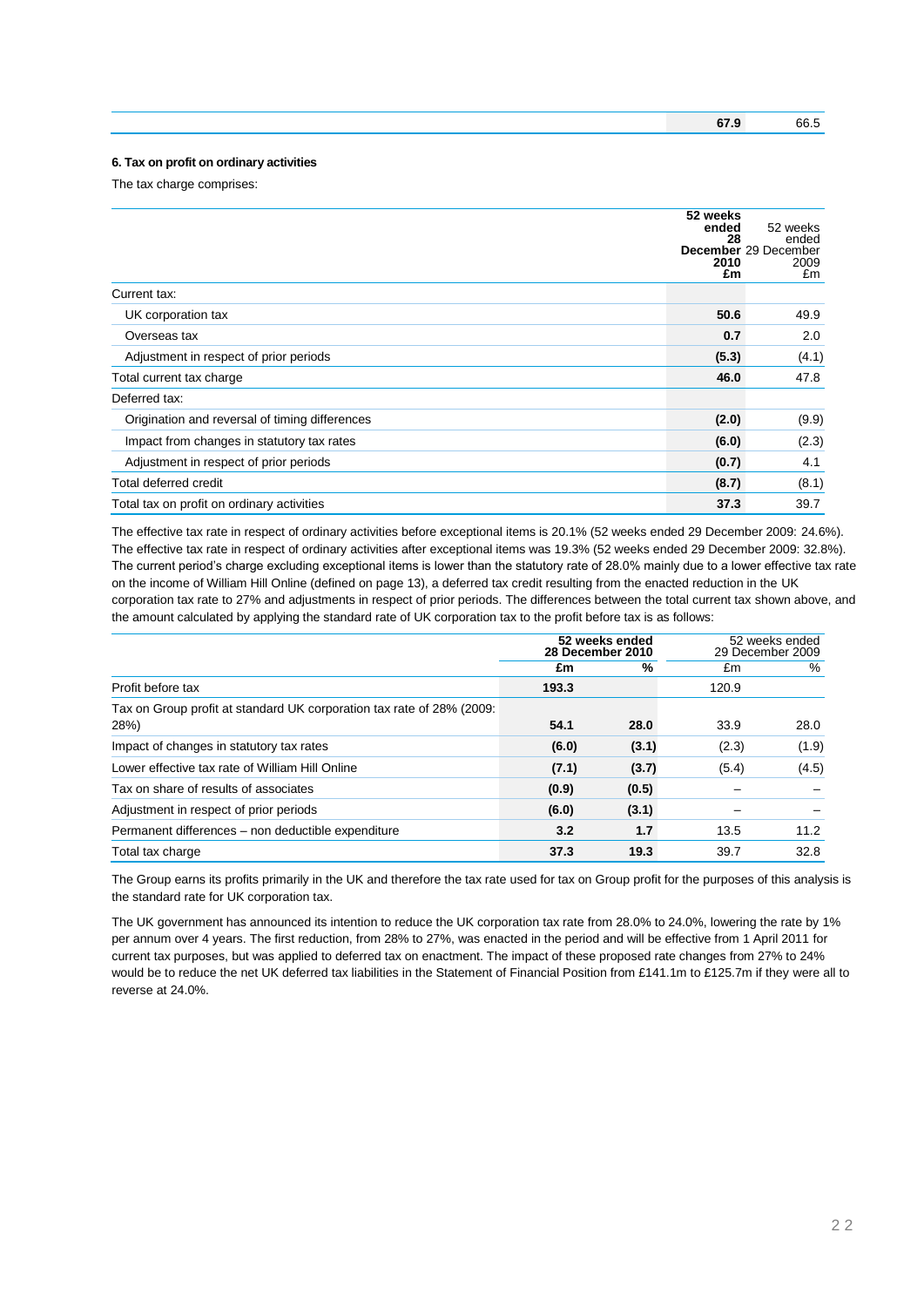### **6. Tax on profit on ordinary activities**

The tax charge comprises:

| Current tax:                                   | 52 weeks<br>ended<br>28<br>2010<br>£m | 52 weeks<br>ended<br>December 29 December<br>2009<br>£m |
|------------------------------------------------|---------------------------------------|---------------------------------------------------------|
| UK corporation tax                             | 50.6                                  | 49.9                                                    |
| Overseas tax                                   | 0.7                                   | 2.0                                                     |
| Adjustment in respect of prior periods         | (5.3)                                 | (4.1)                                                   |
| Total current tax charge                       | 46.0                                  | 47.8                                                    |
| Deferred tax:                                  |                                       |                                                         |
| Origination and reversal of timing differences | (2.0)                                 | (9.9)                                                   |
| Impact from changes in statutory tax rates     | (6.0)                                 | (2.3)                                                   |
| Adjustment in respect of prior periods         | (0.7)                                 | 4.1                                                     |
| Total deferred credit                          | (8.7)                                 | (8.1)                                                   |
| Total tax on profit on ordinary activities     | 37.3                                  | 39.7                                                    |

The effective tax rate in respect of ordinary activities before exceptional items is 20.1% (52 weeks ended 29 December 2009: 24.6%). The effective tax rate in respect of ordinary activities after exceptional items was 19.3% (52 weeks ended 29 December 2009: 32.8%). The current period's charge excluding exceptional items is lower than the statutory rate of 28.0% mainly due to a lower effective tax rate on the income of William Hill Online (defined on page 13), a deferred tax credit resulting from the enacted reduction in the UK corporation tax rate to 27% and adjustments in respect of prior periods. The differences between the total current tax shown above, and the amount calculated by applying the standard rate of UK corporation tax to the profit before tax is as follows:

|                                                                       |       | 52 weeks ended<br>28 December 2010 |       | 52 weeks ended<br>29 December 2009 |  |
|-----------------------------------------------------------------------|-------|------------------------------------|-------|------------------------------------|--|
|                                                                       | £m    | %                                  | £m    | %                                  |  |
| Profit before tax                                                     | 193.3 |                                    | 120.9 |                                    |  |
| Tax on Group profit at standard UK corporation tax rate of 28% (2009: |       |                                    |       |                                    |  |
| 28%)                                                                  | 54.1  | 28.0                               | 33.9  | 28.0                               |  |
| Impact of changes in statutory tax rates                              | (6.0) | (3.1)                              | (2.3) | (1.9)                              |  |
| Lower effective tax rate of William Hill Online                       | (7.1) | (3.7)                              | (5.4) | (4.5)                              |  |
| Tax on share of results of associates                                 | (0.9) | (0.5)                              |       |                                    |  |
| Adjustment in respect of prior periods                                | (6.0) | (3.1)                              |       |                                    |  |
| Permanent differences – non deductible expenditure                    | 3.2   | 1.7                                | 13.5  | 11.2                               |  |
| Total tax charge                                                      | 37.3  | 19.3                               | 39.7  | 32.8                               |  |

The Group earns its profits primarily in the UK and therefore the tax rate used for tax on Group profit for the purposes of this analysis is the standard rate for UK corporation tax.

The UK government has announced its intention to reduce the UK corporation tax rate from 28.0% to 24.0%, lowering the rate by 1% per annum over 4 years. The first reduction, from 28% to 27%, was enacted in the period and will be effective from 1 April 2011 for current tax purposes, but was applied to deferred tax on enactment. The impact of these proposed rate changes from 27% to 24% would be to reduce the net UK deferred tax liabilities in the Statement of Financial Position from £141.1m to £125.7m if they were all to reverse at 24.0%.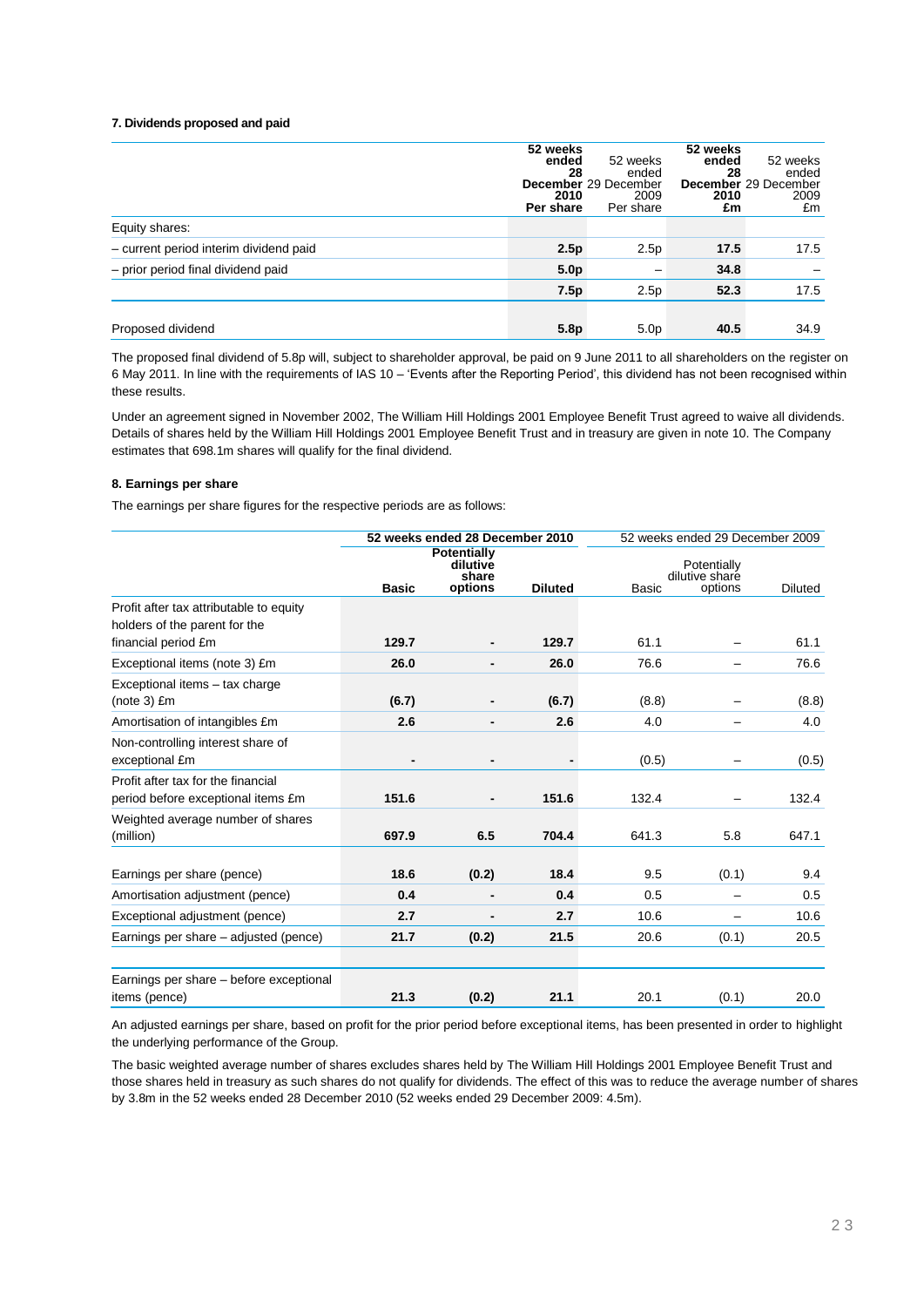### **7. Dividends proposed and paid**

|                                        | 52 weeks<br>ended<br>28<br>2010<br>Per share | 52 weeks<br>ended<br>December 29 December<br>2009<br>Per share | 52 weeks<br>ended<br>28<br>2010<br>£m | 52 weeks<br>ended<br>December 29 December<br>2009<br>£m |
|----------------------------------------|----------------------------------------------|----------------------------------------------------------------|---------------------------------------|---------------------------------------------------------|
| Equity shares:                         |                                              |                                                                |                                       |                                                         |
| - current period interim dividend paid | 2.5p                                         | 2.5p                                                           | 17.5                                  | 17.5                                                    |
| - prior period final dividend paid     | 5.0 <sub>p</sub>                             |                                                                | 34.8                                  |                                                         |
|                                        | 7.5p                                         | 2.5p                                                           | 52.3                                  | 17.5                                                    |
|                                        |                                              |                                                                |                                       |                                                         |
| Proposed dividend                      | 5.8 <sub>p</sub>                             | 5.0 <sub>p</sub>                                               | 40.5                                  | 34.9                                                    |

The proposed final dividend of 5.8p will, subject to shareholder approval, be paid on 9 June 2011 to all shareholders on the register on 6 May 2011. In line with the requirements of IAS 10 – "Events after the Reporting Period", this dividend has not been recognised within these results.

Under an agreement signed in November 2002, The William Hill Holdings 2001 Employee Benefit Trust agreed to waive all dividends. Details of shares held by the William Hill Holdings 2001 Employee Benefit Trust and in treasury are given in note 10. The Company estimates that 698.1m shares will qualify for the final dividend.

### **8. Earnings per share**

The earnings per share figures for the respective periods are as follows:

|                                                                          | 52 weeks ended 28 December 2010 |                                  |                | 52 weeks ended 29 December 2009 |                               |                |  |
|--------------------------------------------------------------------------|---------------------------------|----------------------------------|----------------|---------------------------------|-------------------------------|----------------|--|
|                                                                          |                                 | Potentially<br>dilutive<br>share |                |                                 | Potentially<br>dilutive share |                |  |
|                                                                          | <b>Basic</b>                    | options                          | <b>Diluted</b> | <b>Basic</b>                    | options                       | <b>Diluted</b> |  |
| Profit after tax attributable to equity<br>holders of the parent for the |                                 |                                  |                |                                 |                               |                |  |
| financial period £m                                                      | 129.7                           |                                  | 129.7          | 61.1                            |                               | 61.1           |  |
| Exceptional items (note 3) £m                                            | 26.0                            |                                  | 26.0           | 76.6                            | $\overline{\phantom{0}}$      | 76.6           |  |
| Exceptional items - tax charge                                           |                                 |                                  |                |                                 |                               |                |  |
| $(note 3)$ $Em$                                                          | (6.7)                           |                                  | (6.7)          | (8.8)                           |                               | (8.8)          |  |
| Amortisation of intangibles £m                                           | 2.6                             |                                  | 2.6            | 4.0                             |                               | 4.0            |  |
| Non-controlling interest share of<br>exceptional £m                      |                                 |                                  |                | (0.5)                           |                               | (0.5)          |  |
| Profit after tax for the financial<br>period before exceptional items £m | 151.6                           |                                  | 151.6          | 132.4                           |                               | 132.4          |  |
| Weighted average number of shares<br>(million)                           | 697.9                           | 6.5                              | 704.4          | 641.3                           | 5.8                           | 647.1          |  |
| Earnings per share (pence)                                               | 18.6                            | (0.2)                            | 18.4           | 9.5                             | (0.1)                         | 9.4            |  |
| Amortisation adjustment (pence)                                          | 0.4                             |                                  | 0.4            | 0.5                             |                               | 0.5            |  |
| Exceptional adjustment (pence)                                           | 2.7                             |                                  | 2.7            | 10.6                            | $\overline{\phantom{0}}$      | 10.6           |  |
| Earnings per share - adjusted (pence)                                    | 21.7                            | (0.2)                            | 21.5           | 20.6                            | (0.1)                         | 20.5           |  |
| Earnings per share – before exceptional                                  |                                 |                                  |                |                                 |                               |                |  |
| items (pence)                                                            | 21.3                            | (0.2)                            | 21.1           | 20.1                            | (0.1)                         | 20.0           |  |

An adjusted earnings per share, based on profit for the prior period before exceptional items, has been presented in order to highlight the underlying performance of the Group.

The basic weighted average number of shares excludes shares held by The William Hill Holdings 2001 Employee Benefit Trust and those shares held in treasury as such shares do not qualify for dividends. The effect of this was to reduce the average number of shares by 3.8m in the 52 weeks ended 28 December 2010 (52 weeks ended 29 December 2009: 4.5m).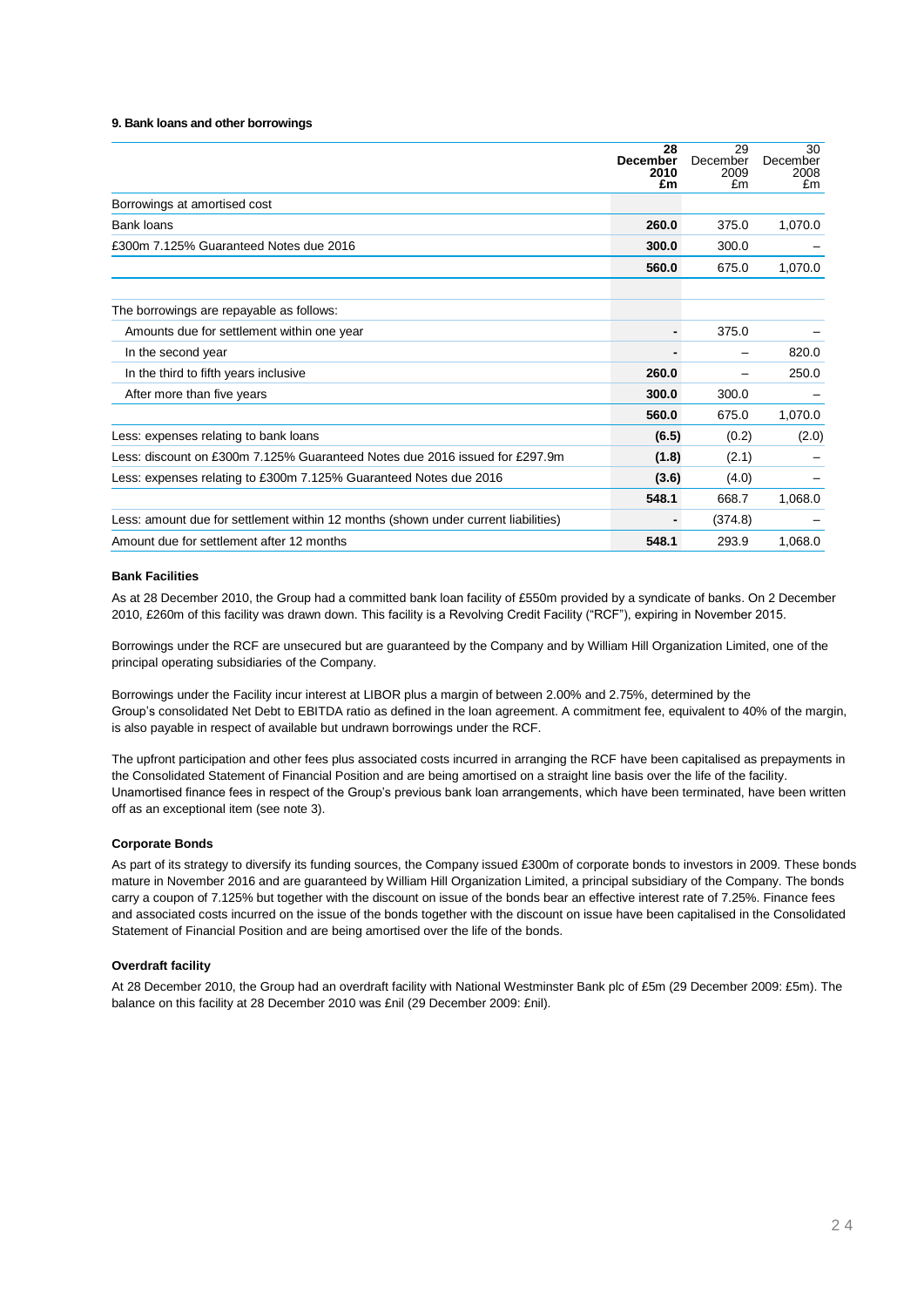#### **9. Bank loans and other borrowings**

|                                                                                    | 28<br><b>December</b><br>2010<br>£m | 29<br>December<br>2009<br>£m | 30<br>December<br>2008<br>£m |
|------------------------------------------------------------------------------------|-------------------------------------|------------------------------|------------------------------|
| Borrowings at amortised cost                                                       |                                     |                              |                              |
| <b>Bank loans</b>                                                                  | 260.0                               | 375.0                        | 1,070.0                      |
| £300m 7.125% Guaranteed Notes due 2016                                             | 300.0                               | 300.0                        |                              |
|                                                                                    | 560.0                               | 675.0                        | 1,070.0                      |
| The borrowings are repayable as follows:                                           |                                     |                              |                              |
| Amounts due for settlement within one year                                         |                                     | 375.0                        |                              |
| In the second year                                                                 |                                     |                              | 820.0                        |
| In the third to fifth years inclusive                                              | 260.0                               |                              | 250.0                        |
| After more than five years                                                         | 300.0                               | 300.0                        |                              |
|                                                                                    | 560.0                               | 675.0                        | 1,070.0                      |
| Less: expenses relating to bank loans                                              | (6.5)                               | (0.2)                        | (2.0)                        |
| Less: discount on £300m 7.125% Guaranteed Notes due 2016 issued for £297.9m        | (1.8)                               | (2.1)                        |                              |
| Less: expenses relating to £300m 7.125% Guaranteed Notes due 2016                  | (3.6)                               | (4.0)                        |                              |
|                                                                                    | 548.1                               | 668.7                        | 1,068.0                      |
| Less: amount due for settlement within 12 months (shown under current liabilities) |                                     | (374.8)                      |                              |
| Amount due for settlement after 12 months                                          | 548.1                               | 293.9                        | 1,068.0                      |

#### **Bank Facilities**

As at 28 December 2010, the Group had a committed bank loan facility of £550m provided by a syndicate of banks. On 2 December 2010, £260m of this facility was drawn down. This facility is a Revolving Credit Facility ("RCF"), expiring in November 2015.

Borrowings under the RCF are unsecured but are guaranteed by the Company and by William Hill Organization Limited, one of the principal operating subsidiaries of the Company.

Borrowings under the Facility incur interest at LIBOR plus a margin of between 2.00% and 2.75%, determined by the Group"s consolidated Net Debt to EBITDA ratio as defined in the loan agreement. A commitment fee, equivalent to 40% of the margin, is also payable in respect of available but undrawn borrowings under the RCF.

The upfront participation and other fees plus associated costs incurred in arranging the RCF have been capitalised as prepayments in the Consolidated Statement of Financial Position and are being amortised on a straight line basis over the life of the facility. Unamortised finance fees in respect of the Group"s previous bank loan arrangements, which have been terminated, have been written off as an exceptional item (see note 3).

### **Corporate Bonds**

As part of its strategy to diversify its funding sources, the Company issued £300m of corporate bonds to investors in 2009. These bonds mature in November 2016 and are guaranteed by William Hill Organization Limited, a principal subsidiary of the Company. The bonds carry a coupon of 7.125% but together with the discount on issue of the bonds bear an effective interest rate of 7.25%. Finance fees and associated costs incurred on the issue of the bonds together with the discount on issue have been capitalised in the Consolidated Statement of Financial Position and are being amortised over the life of the bonds.

### **Overdraft facility**

At 28 December 2010, the Group had an overdraft facility with National Westminster Bank plc of £5m (29 December 2009: £5m). The balance on this facility at 28 December 2010 was £nil (29 December 2009: £nil).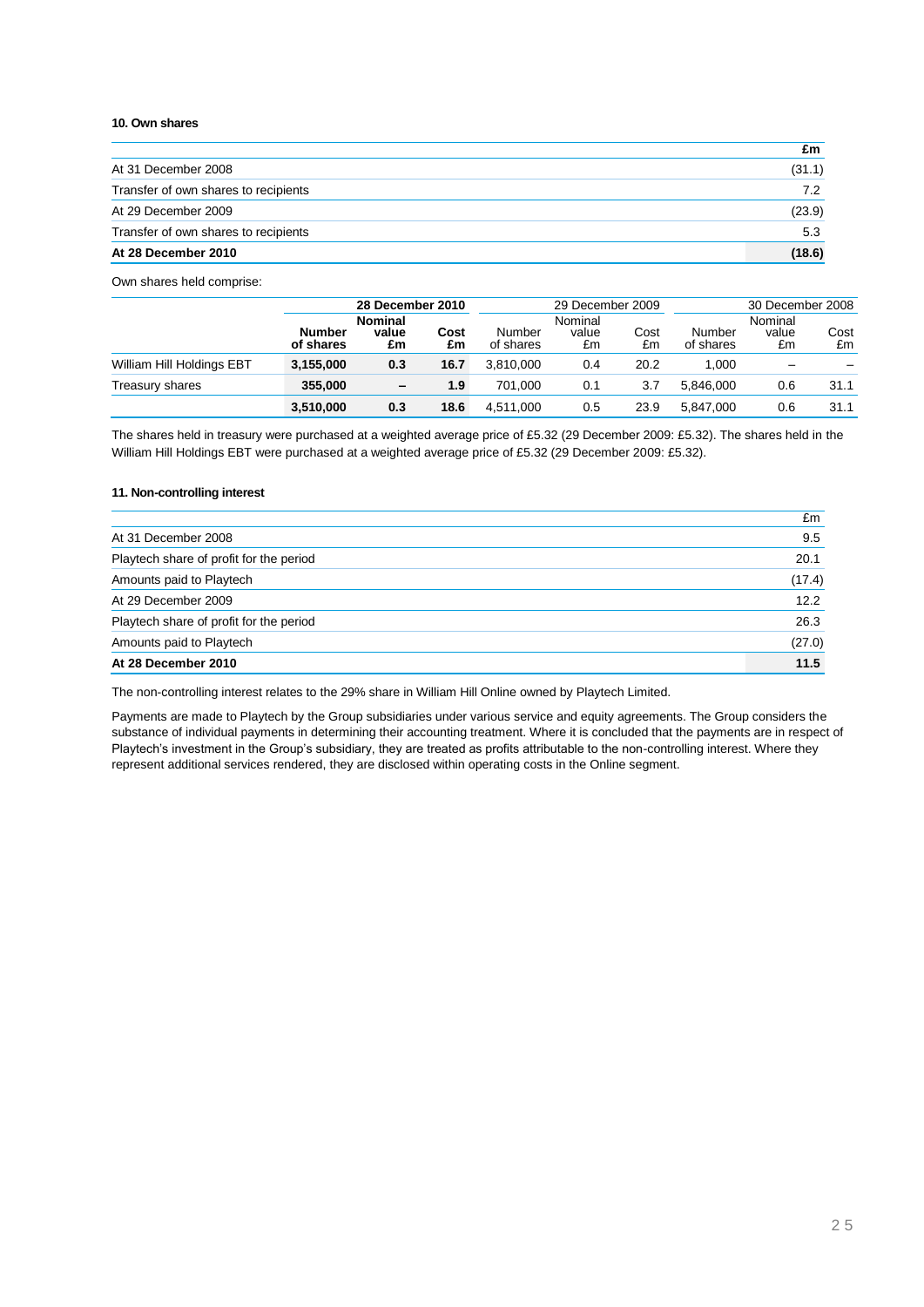### **10. Own shares**

|                                      | £m     |
|--------------------------------------|--------|
| At 31 December 2008                  | (31.1) |
| Transfer of own shares to recipients | 7.2    |
| At 29 December 2009                  | (23.9) |
| Transfer of own shares to recipients | 5.3    |
| At 28 December 2010                  | (18.6) |

Own shares held comprise:

|                           |                            | 28 December 2010              |            |                     | 29 December 2009       |            |                     | 30 December 2008       |            |
|---------------------------|----------------------------|-------------------------------|------------|---------------------|------------------------|------------|---------------------|------------------------|------------|
|                           | <b>Number</b><br>of shares | <b>Nominal</b><br>value<br>£m | Cost<br>£m | Number<br>of shares | Nominal<br>value<br>£m | Cost<br>£m | Number<br>of shares | Nominal<br>value<br>£m | Cost<br>£m |
| William Hill Holdings EBT | 3,155,000                  | 0.3                           | 16.7       | 3.810.000           | 0.4                    | 20.2       | 1.000               |                        |            |
| Treasury shares           | 355,000                    | -                             | 1.9        | 701.000             | 0.1                    | 3.7        | 5.846.000           | 0.6                    | 31.1       |
|                           | 3,510,000                  | 0.3                           | 18.6       | 4.511.000           | 0.5                    | 23.9       | 5.847.000           | 0.6                    | 31.1       |

The shares held in treasury were purchased at a weighted average price of £5.32 (29 December 2009: £5.32). The shares held in the William Hill Holdings EBT were purchased at a weighted average price of £5.32 (29 December 2009: £5.32).

### **11. Non-controlling interest**

|                                         | £m     |
|-----------------------------------------|--------|
| At 31 December 2008                     | 9.5    |
| Playtech share of profit for the period | 20.1   |
| Amounts paid to Playtech                | (17.4) |
| At 29 December 2009                     | 12.2   |
| Playtech share of profit for the period | 26.3   |
| Amounts paid to Playtech                | (27.0) |
| At 28 December 2010                     | 11.5   |

The non-controlling interest relates to the 29% share in William Hill Online owned by Playtech Limited.

Payments are made to Playtech by the Group subsidiaries under various service and equity agreements. The Group considers the substance of individual payments in determining their accounting treatment. Where it is concluded that the payments are in respect of Playtech's investment in the Group's subsidiary, they are treated as profits attributable to the non-controlling interest. Where they represent additional services rendered, they are disclosed within operating costs in the Online segment.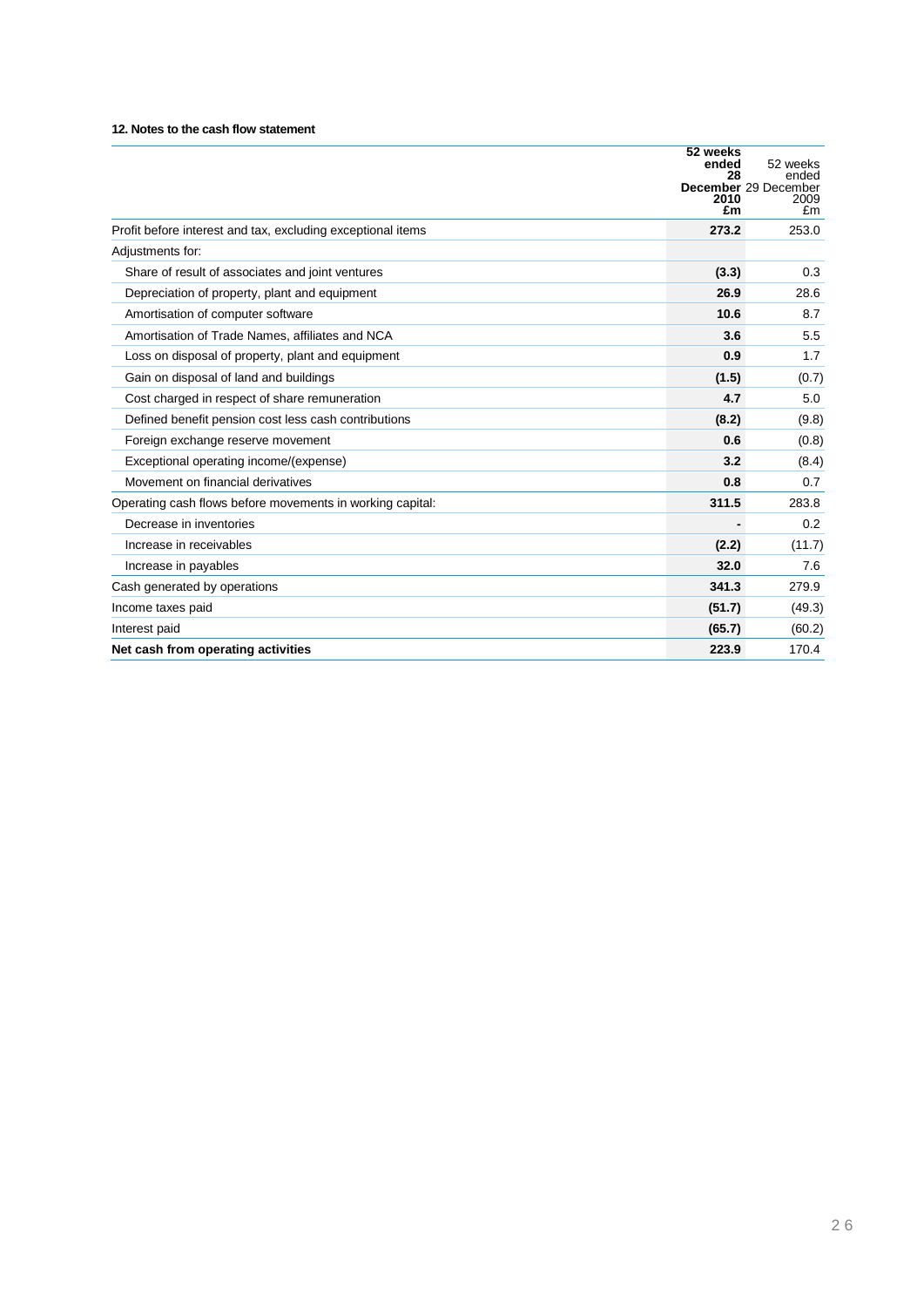## **12. Notes to the cash flow statement**

|                                                             | 52 weeks<br>ended | 52 weeks                                    |
|-------------------------------------------------------------|-------------------|---------------------------------------------|
|                                                             | 28<br>2010<br>£m  | ended<br>December 29 December<br>2009<br>£m |
| Profit before interest and tax, excluding exceptional items | 273.2             | 253.0                                       |
| Adjustments for:                                            |                   |                                             |
| Share of result of associates and joint ventures            | (3.3)             | 0.3                                         |
| Depreciation of property, plant and equipment               | 26.9              | 28.6                                        |
| Amortisation of computer software                           | 10.6              | 8.7                                         |
| Amortisation of Trade Names, affiliates and NCA             | 3.6               | 5.5                                         |
| Loss on disposal of property, plant and equipment           | 0.9               | 1.7                                         |
| Gain on disposal of land and buildings                      | (1.5)             | (0.7)                                       |
| Cost charged in respect of share remuneration               | 4.7               | 5.0                                         |
| Defined benefit pension cost less cash contributions        | (8.2)             | (9.8)                                       |
| Foreign exchange reserve movement                           | 0.6               | (0.8)                                       |
| Exceptional operating income/(expense)                      | 3.2               | (8.4)                                       |
| Movement on financial derivatives                           | 0.8               | 0.7                                         |
| Operating cash flows before movements in working capital:   | 311.5             | 283.8                                       |
| Decrease in inventories                                     |                   | 0.2                                         |
| Increase in receivables                                     | (2.2)             | (11.7)                                      |
| Increase in payables                                        | 32.0              | 7.6                                         |
| Cash generated by operations                                | 341.3             | 279.9                                       |
| Income taxes paid                                           | (51.7)            | (49.3)                                      |
| Interest paid                                               | (65.7)            | (60.2)                                      |
| Net cash from operating activities                          | 223.9             | 170.4                                       |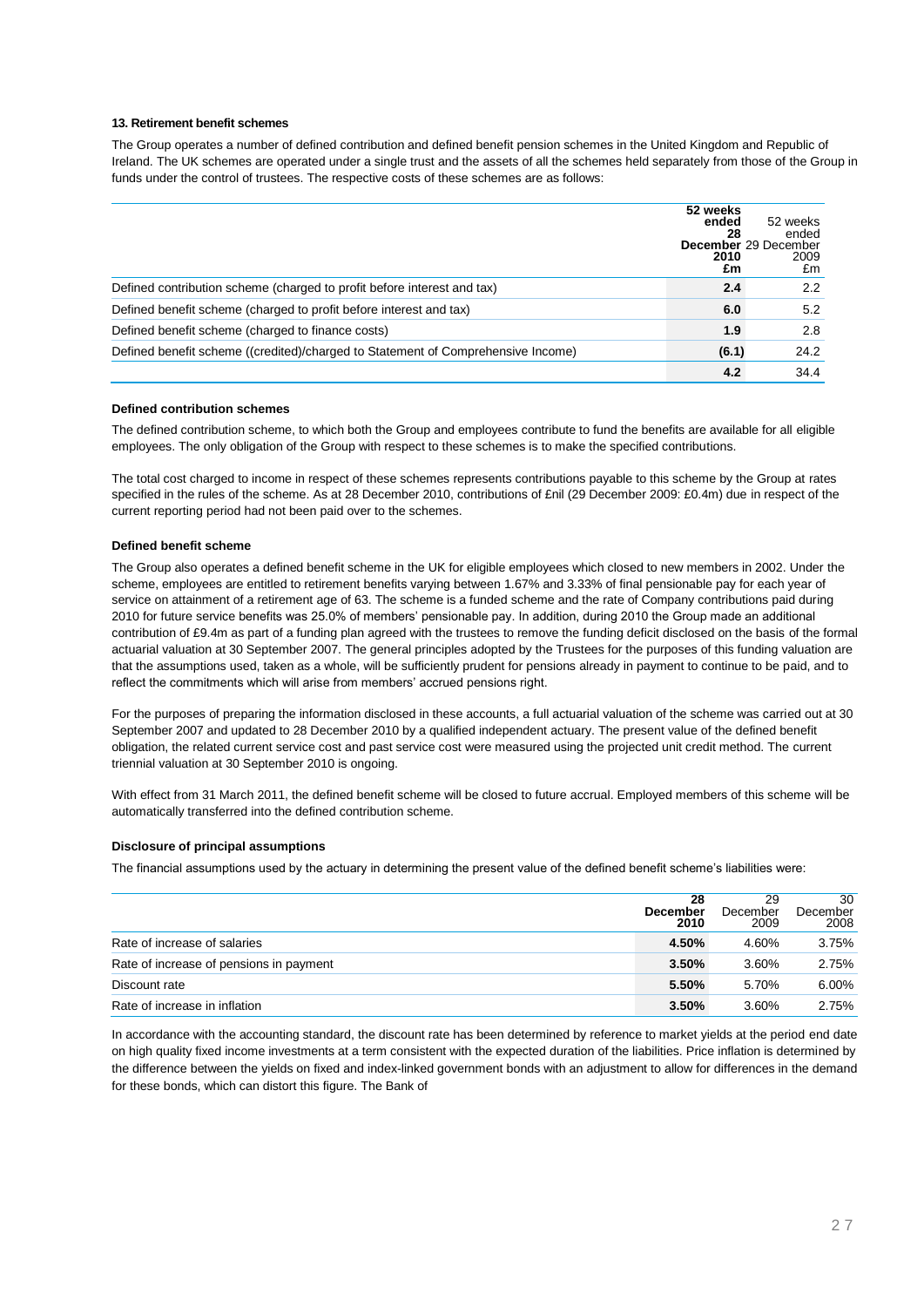#### **13. Retirement benefit schemes**

The Group operates a number of defined contribution and defined benefit pension schemes in the United Kingdom and Republic of Ireland. The UK schemes are operated under a single trust and the assets of all the schemes held separately from those of the Group in funds under the control of trustees. The respective costs of these schemes are as follows:

|                                                                                  | 52 weeks<br>ended<br>28<br>2010<br>£m | 52 weeks<br>ended<br>December 29 December<br>2009<br>£m |
|----------------------------------------------------------------------------------|---------------------------------------|---------------------------------------------------------|
| Defined contribution scheme (charged to profit before interest and tax)          | 2.4                                   | 2.2                                                     |
| Defined benefit scheme (charged to profit before interest and tax)               | 6.0                                   | 5.2                                                     |
| Defined benefit scheme (charged to finance costs)                                | 1.9                                   | 2.8                                                     |
| Defined benefit scheme ((credited)/charged to Statement of Comprehensive Income) | (6.1)                                 | 24.2                                                    |
|                                                                                  | 4.2                                   | 34.4                                                    |

### **Defined contribution schemes**

The defined contribution scheme, to which both the Group and employees contribute to fund the benefits are available for all eligible employees. The only obligation of the Group with respect to these schemes is to make the specified contributions.

The total cost charged to income in respect of these schemes represents contributions payable to this scheme by the Group at rates specified in the rules of the scheme. As at 28 December 2010, contributions of £nil (29 December 2009: £0.4m) due in respect of the current reporting period had not been paid over to the schemes.

#### **Defined benefit scheme**

The Group also operates a defined benefit scheme in the UK for eligible employees which closed to new members in 2002. Under the scheme, employees are entitled to retirement benefits varying between 1.67% and 3.33% of final pensionable pay for each year of service on attainment of a retirement age of 63. The scheme is a funded scheme and the rate of Company contributions paid during 2010 for future service benefits was 25.0% of members" pensionable pay. In addition, during 2010 the Group made an additional contribution of £9.4m as part of a funding plan agreed with the trustees to remove the funding deficit disclosed on the basis of the formal actuarial valuation at 30 September 2007. The general principles adopted by the Trustees for the purposes of this funding valuation are that the assumptions used, taken as a whole, will be sufficiently prudent for pensions already in payment to continue to be paid, and to reflect the commitments which will arise from members' accrued pensions right.

For the purposes of preparing the information disclosed in these accounts, a full actuarial valuation of the scheme was carried out at 30 September 2007 and updated to 28 December 2010 by a qualified independent actuary. The present value of the defined benefit obligation, the related current service cost and past service cost were measured using the projected unit credit method. The current triennial valuation at 30 September 2010 is ongoing.

With effect from 31 March 2011, the defined benefit scheme will be closed to future accrual. Employed members of this scheme will be automatically transferred into the defined contribution scheme.

### **Disclosure of principal assumptions**

The financial assumptions used by the actuary in determining the present value of the defined benefit scheme"s liabilities were:

|                                         | 28<br><b>December</b><br>2010 | 29<br>December<br>2009 | 30<br>December<br>2008 |
|-----------------------------------------|-------------------------------|------------------------|------------------------|
| Rate of increase of salaries            | 4.50%                         | 4.60%                  | 3.75%                  |
| Rate of increase of pensions in payment | 3.50%                         | 3.60%                  | 2.75%                  |
| Discount rate                           | 5.50%                         | 5.70%                  | 6.00%                  |
| Rate of increase in inflation           | 3.50%                         | 3.60%                  | 2.75%                  |

In accordance with the accounting standard, the discount rate has been determined by reference to market yields at the period end date on high quality fixed income investments at a term consistent with the expected duration of the liabilities. Price inflation is determined by the difference between the yields on fixed and index-linked government bonds with an adjustment to allow for differences in the demand for these bonds, which can distort this figure. The Bank of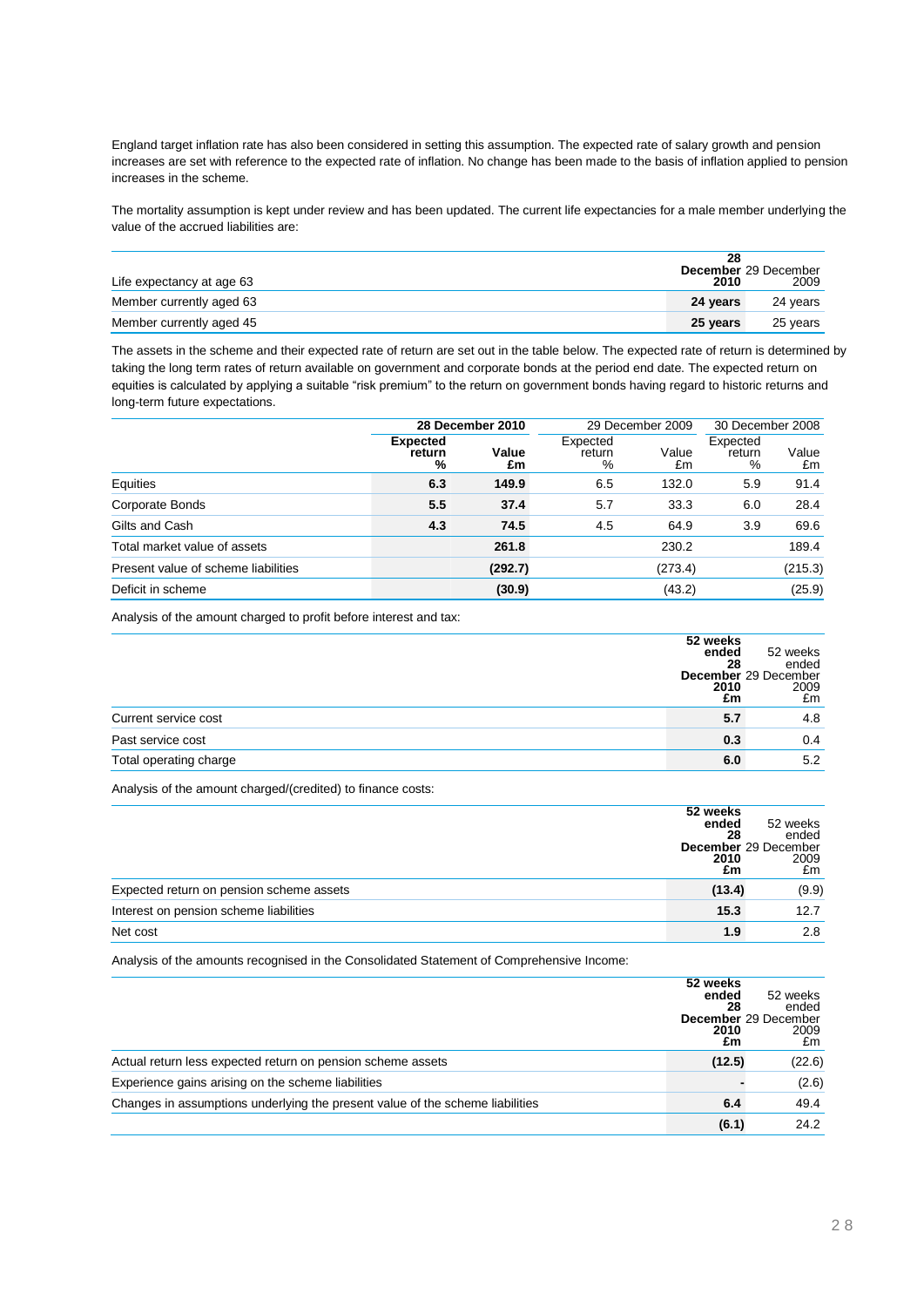England target inflation rate has also been considered in setting this assumption. The expected rate of salary growth and pension increases are set with reference to the expected rate of inflation. No change has been made to the basis of inflation applied to pension increases in the scheme.

The mortality assumption is kept under review and has been updated. The current life expectancies for a male member underlying the value of the accrued liabilities are:

| Life expectancy at age 63 | 28<br>2010 | <b>December</b> 29 December<br>2009 |
|---------------------------|------------|-------------------------------------|
| Member currently aged 63  | 24 years   | 24 years                            |
| Member currently aged 45  | 25 years   | 25 years                            |

The assets in the scheme and their expected rate of return are set out in the table below. The expected rate of return is determined by taking the long term rates of return available on government and corporate bonds at the period end date. The expected return on equities is calculated by applying a suitable "risk premium" to the return on government bonds having regard to historic returns and long-term future expectations.

|                                     | 28 December 2010               |             | 29 December 2009        |             | 30 December 2008        |             |
|-------------------------------------|--------------------------------|-------------|-------------------------|-------------|-------------------------|-------------|
|                                     | <b>Expected</b><br>return<br>% | Value<br>£m | Expected<br>return<br>% | Value<br>£m | Expected<br>return<br>% | Value<br>£m |
| Equities                            | 6.3                            | 149.9       | 6.5                     | 132.0       | 5.9                     | 91.4        |
| Corporate Bonds                     | 5.5                            | 37.4        | 5.7                     | 33.3        | 6.0                     | 28.4        |
| Gilts and Cash                      | 4.3                            | 74.5        | 4.5                     | 64.9        | 3.9                     | 69.6        |
| Total market value of assets        |                                | 261.8       |                         | 230.2       |                         | 189.4       |
| Present value of scheme liabilities |                                | (292.7)     |                         | (273.4)     |                         | (215.3)     |
| Deficit in scheme                   |                                | (30.9)      |                         | (43.2)      |                         | (25.9)      |

Analysis of the amount charged to profit before interest and tax:

|                        | 52 weeks |                      |
|------------------------|----------|----------------------|
|                        | ended    | 52 weeks             |
|                        | 28       | ended                |
|                        |          | December 29 December |
|                        | 2010     | 2009                 |
|                        | £m       | £m                   |
| Current service cost   | 5.7      | 4.8                  |
| Past service cost      | 0.3      | 0.4                  |
| Total operating charge | 6.0      | 5.2                  |

Analysis of the amount charged/(credited) to finance costs:

|                                          | 52 weeks<br>ended<br>28<br>2010<br>£m | 52 weeks<br>ended<br>December 29 December<br>2009<br>£m |
|------------------------------------------|---------------------------------------|---------------------------------------------------------|
| Expected return on pension scheme assets | (13.4)                                | (9.9)                                                   |
| Interest on pension scheme liabilities   | 15.3                                  | 12.7                                                    |
| Net cost                                 | 1.9                                   | 2.8                                                     |

Analysis of the amounts recognised in the Consolidated Statement of Comprehensive Income:

|                                                                               | 52 weeks<br>ended<br>28<br>2010<br>£m | 52 weeks<br>ended<br>December 29 December<br>2009<br>£m |
|-------------------------------------------------------------------------------|---------------------------------------|---------------------------------------------------------|
| Actual return less expected return on pension scheme assets                   | (12.5)                                | (22.6)                                                  |
| Experience gains arising on the scheme liabilities                            |                                       | (2.6)                                                   |
| Changes in assumptions underlying the present value of the scheme liabilities | 6.4                                   | 49.4                                                    |
|                                                                               | (6.1)                                 | 24.2                                                    |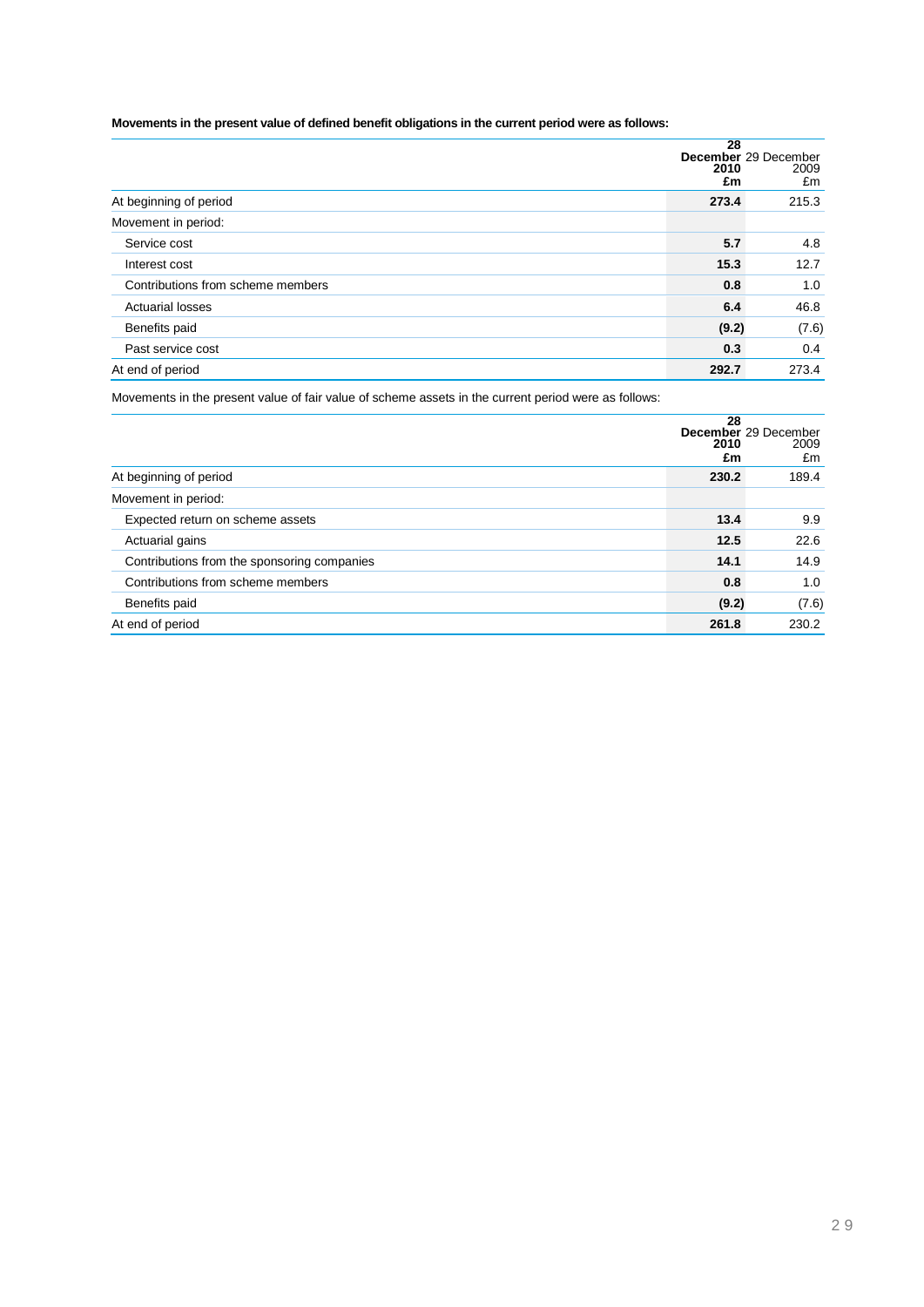## **Movements in the present value of defined benefit obligations in the current period were as follows:**

|                                   | 28         |                                    |  |  |
|-----------------------------------|------------|------------------------------------|--|--|
|                                   | 2010<br>£m | December 29 December<br>2009<br>£m |  |  |
| At beginning of period            | 273.4      | 215.3                              |  |  |
| Movement in period:               |            |                                    |  |  |
| Service cost                      | 5.7        | 4.8                                |  |  |
| Interest cost                     | 15.3       | 12.7                               |  |  |
| Contributions from scheme members | 0.8        | 1.0                                |  |  |
| <b>Actuarial losses</b>           | 6.4        | 46.8                               |  |  |
| Benefits paid                     | (9.2)      | (7.6)                              |  |  |
| Past service cost                 | 0.3        | 0.4                                |  |  |
| At end of period                  | 292.7      | 273.4                              |  |  |

Movements in the present value of fair value of scheme assets in the current period were as follows:

|                                             | 28<br>2010<br>£m | December 29 December<br>2009<br>£m |
|---------------------------------------------|------------------|------------------------------------|
| At beginning of period                      | 230.2            | 189.4                              |
| Movement in period:                         |                  |                                    |
| Expected return on scheme assets            | 13.4             | 9.9                                |
| Actuarial gains                             | 12.5             | 22.6                               |
| Contributions from the sponsoring companies | 14.1             | 14.9                               |
| Contributions from scheme members           | 0.8              | 1.0                                |
| Benefits paid                               | (9.2)            | (7.6)                              |
| At end of period                            | 261.8            | 230.2                              |